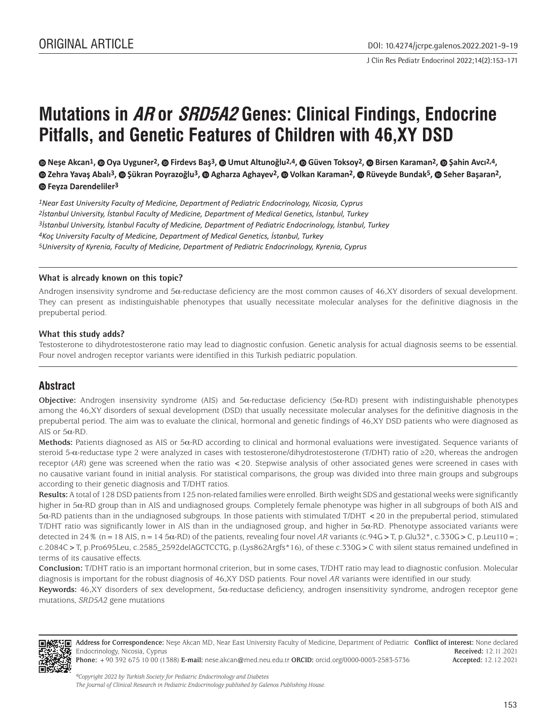J Clin Res Pediatr Endocrinol 2022;14(2):153-171

# **Mutations in AR or SRD5A2 Genes: Clinical Findings, Endocrine Pitfalls, and Genetic Features of Children with 46,XY DSD**

**Neşe Akcan1, Oya Uyguner2, Firdevs Baş3, Umut Altunoğlu2,4, Güven Toksoy2, Birsen Karaman2, [Ş](https://orcid.org/0000-0001-9545-6657)ahin Avcı2,4, Zehra Yavaş Abalı3, Şükran Poyrazoğlu3, Agharza Aghayev2, Volkan Karaman2, Rüveyde Bundak5, Seher Başaran2, Feyza Darendeliler3**

*1Near East University Faculty of Medicine, Department of Pediatric Endocrinology, Nicosia, Cyprus 2İstanbul University, İstanbul Faculty of Medicine, Department of Medical Genetics, İstanbul, Turkey 3İstanbul University, İstanbul Faculty of Medicine, Department of Pediatric Endocrinology, İstanbul, Turkey 4Koç University Faculty of Medicine, Department of Medical Genetics, İstanbul, Turkey 5University of Kyrenia, Faculty of Medicine, Department of Pediatric Endocrinology, Kyrenia, Cyprus*

#### **What is already known on this topic?**

Androgen insensivity syndrome and  $5\alpha$ -reductase deficiency are the most common causes of 46,XY disorders of sexual development. They can present as indistinguishable phenotypes that usually necessitate molecular analyses for the definitive diagnosis in the prepubertal period.

## **What this study adds?**

Testosterone to dihydrotestosterone ratio may lead to diagnostic confusion. Genetic analysis for actual diagnosis seems to be essential. Four novel androgen receptor variants were identified in this Turkish pediatric population.

# **Abstract**

**Objective:** Androgen insensivity syndrome (AIS) and 5α-reductase deficiency (5α-RD) present with indistinguishable phenotypes among the 46,XY disorders of sexual development (DSD) that usually necessitate molecular analyses for the definitive diagnosis in the prepubertal period. The aim was to evaluate the clinical, hormonal and genetic findings of 46,XY DSD patients who were diagnosed as AIS or 5α-RD.

**Methods:** Patients diagnosed as AIS or 5α-RD according to clinical and hormonal evaluations were investigated. Sequence variants of steroid 5-α-reductase type 2 were analyzed in cases with testosterone/dihydrotestosterone (T/DHT) ratio of ≥20, whereas the androgen receptor (*AR*) gene was screened when the ratio was <20. Stepwise analysis of other associated genes were screened in cases with no causative variant found in initial analysis. For statistical comparisons, the group was divided into three main groups and subgroups according to their genetic diagnosis and T/DHT ratios.

**Results:** A total of 128 DSD patients from 125 non-related families were enrolled. Birth weight SDS and gestational weeks were significantly higher in 5α-RD group than in AIS and undiagnosed groups. Completely female phenotype was higher in all subgroups of both AIS and 5α-RD patients than in the undiagnosed subgroups. In those patients with stimulated T/DHT <20 in the prepubertal period, stimulated T/DHT ratio was significantly lower in AIS than in the undiagnosed group, and higher in 5α-RD. Phenotype associated variants were detected in 24% (n=18 AIS, n=14 5α-RD) of the patients, revealing four novel *AR* variants (c.94G>T, p.Glu32\*, c.330G>C, p.Leu110=; c.2084C>T, p.Pro695Leu, c.2585\_2592delAGCTCCTG, p.(Lys862Argfs\*16), of these c.330G>C with silent status remained undefined in terms of its causative effects.

**Conclusion:** T/DHT ratio is an important hormonal criterion, but in some cases, T/DHT ratio may lead to diagnostic confusion. Molecular diagnosis is important for the robust diagnosis of 46,XY DSD patients. Four novel *AR* variants were identified in our study.

**Keywords:** 46,XY disorders of sex development, 5α-reductase deficiency, androgen insensitivity syndrome, androgen receptor gene mutations, *SRD5A2* gene mutations



**Address for Correspondence:** Neşe Akcan MD, Near East University Faculty of Medicine, Department of Pediatric **Conflict of interest:** None declared Endocrinology, Nicosia, Cyprus **Received:** 12.11.2021 **Accepted:** 12.12.2021

**Phone:** +90 392 675 10 00 (1388) **E-mail:** nese.akcan@med.neu.edu.tr **ORCID:** orcid.org/0000-0003-2583-5736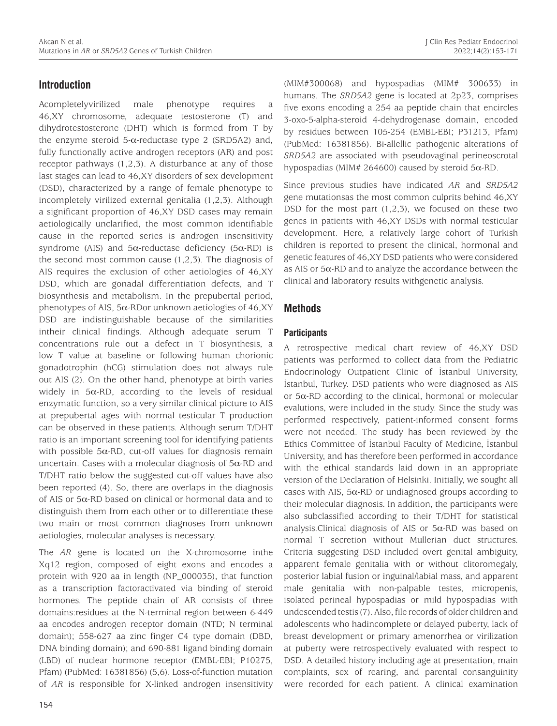# **Introduction**

Acompletelyvirilized male phenotype requires a 46,XY chromosome, adequate testosterone (T) and dihydrotestosterone (DHT) which is formed from T by the enzyme steroid  $5-\alpha$ -reductase type 2 (SRD5A2) and, fully functionally active androgen receptors (AR) and post receptor pathways (1,2,3). A disturbance at any of those last stages can lead to 46,XY disorders of sex development (DSD), characterized by a range of female phenotype to incompletely virilized external genitalia (1,2,3). Although a significant proportion of 46,XY DSD cases may remain aetiologically unclarified, the most common identifiable cause in the reported series is androgen insensitivity syndrome (AIS) and  $5\alpha$ -reductase deficiency ( $5\alpha$ -RD) is the second most common cause (1,2,3). The diagnosis of AIS requires the exclusion of other aetiologies of 46,XY DSD, which are gonadal differentiation defects, and T biosynthesis and metabolism. In the prepubertal period, phenotypes of AIS,  $5\alpha$ -RDor unknown aetiologies of 46,XY DSD are indistinguishable because of the similarities intheir clinical findings. Although adequate serum T concentrations rule out a defect in T biosynthesis, a low T value at baseline or following human chorionic gonadotrophin (hCG) stimulation does not always rule out AIS (2). On the other hand, phenotype at birth varies widely in  $5\alpha$ -RD, according to the levels of residual enzymatic function, so a very similar clinical picture to AIS at prepubertal ages with normal testicular T production can be observed in these patients. Although serum T/DHT ratio is an important screening tool for identifying patients with possible  $5\alpha$ -RD, cut-off values for diagnosis remain uncertain. Cases with a molecular diagnosis of  $5\alpha$ -RD and T/DHT ratio below the suggested cut-off values have also been reported (4). So, there are overlaps in the diagnosis of AIS or 5α-RD based on clinical or hormonal data and to distinguish them from each other or to differentiate these two main or most common diagnoses from unknown aetiologies, molecular analyses is necessary.

The *AR* gene is located on the X-chromosome inthe Xq12 region, composed of eight exons and encodes a protein with 920 aa in length (NP\_000035), that function as a transcription factoractivated via binding of steroid hormones. The peptide chain of AR consists of three domains:residues at the N-terminal region between 6-449 aa encodes androgen receptor domain (NTD; N terminal domain); 558-627 aa zinc finger C4 type domain (DBD, DNA binding domain); and 690-881 ligand binding domain (LBD) of nuclear hormone receptor (EMBL-EBI; P10275, Pfam) (PubMed: 16381856) (5,6). Loss-of-function mutation of *AR* is responsible for X-linked androgen insensitivity (MIM#300068) and hypospadias (MIM# 300633) in humans. The *SRD5A2* gene is located at 2p23, comprises five exons encoding a 254 aa peptide chain that encircles 3-oxo-5-alpha-steroid 4-dehydrogenase domain, encoded by residues between 105-254 (EMBL-EBI; P31213, Pfam) (PubMed: 16381856). Bi-allellic pathogenic alterations of *SRD5A2* are associated with pseudovaginal perineoscrotal hypospadias (MIM# 264600) caused by steroid 5α-RD.

Since previous studies have indicated *AR* and *SRD5A2* gene mutationsas the most common culprits behind 46,XY DSD for the most part  $(1,2,3)$ , we focused on these two genes in patients with 46,XY DSDs with normal testicular development. Here, a relatively large cohort of Turkish children is reported to present the clinical, hormonal and genetic features of 46,XY DSD patients who were considered as AIS or  $5\alpha$ -RD and to analyze the accordance between the clinical and laboratory results withgenetic analysis.

# **Methods**

# **Participants**

A retrospective medical chart review of 46,XY DSD patients was performed to collect data from the Pediatric Endocrinology Outpatient Clinic of İstanbul University, İstanbul, Turkey. DSD patients who were diagnosed as AIS or 5α-RD according to the clinical, hormonal or molecular evalutions, were included in the study. Since the study was performed respectively, patient-informed consent forms were not needed. The study has been reviewed by the Ethics Committee of İstanbul Faculty of Medicine, İstanbul University, and has therefore been performed in accordance with the ethical standards laid down in an appropriate version of the Declaration of Helsinki. Initially, we sought all cases with AIS,  $5\alpha$ -RD or undiagnosed groups according to their molecular diagnosis. In addition, the participants were also subclassified according to their T/DHT for statistical analysis.Clinical diagnosis of AIS or  $5\alpha$ -RD was based on normal T secretion without Mullerian duct structures. Criteria suggesting DSD included overt genital ambiguity, apparent female genitalia with or without clitoromegaly, posterior labial fusion or inguinal/labial mass, and apparent male genitalia with non-palpable testes, micropenis, isolated perineal hypospadias or mild hypospadias with undescended testis (7). Also, file records of older children and adolescents who hadincomplete or delayed puberty, lack of breast development or primary amenorrhea or virilization at puberty were retrospectively evaluated with respect to DSD. A detailed history including age at presentation, main complaints, sex of rearing, and parental consanguinity were recorded for each patient. A clinical examination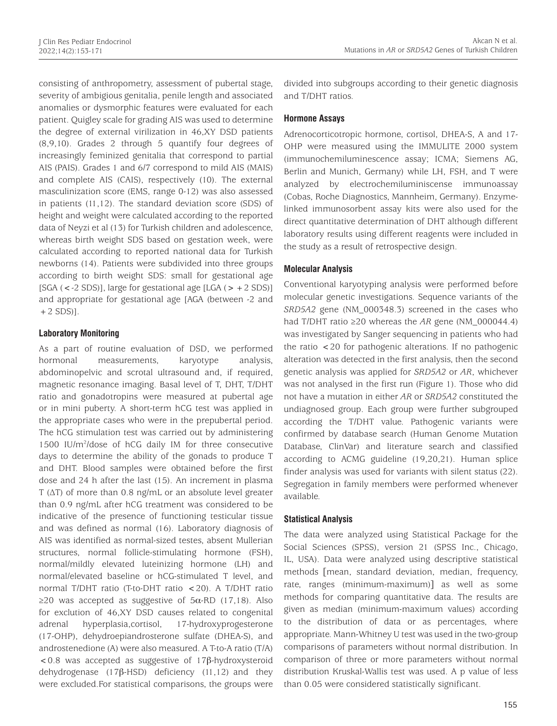consisting of anthropometry, assessment of pubertal stage, severity of ambigious genitalia, penile length and associated anomalies or dysmorphic features were evaluated for each patient. Quigley scale for grading AIS was used to determine the degree of external virilization in 46,XY DSD patients (8,9,10). Grades 2 through 5 quantify four degrees of increasingly feminized genitalia that correspond to partial AIS (PAIS). Grades 1 and 6/7 correspond to mild AIS (MAIS) and complete AIS (CAIS), respectively (10). The external masculinization score (EMS, range 0-12) was also assessed in patients (11,12). The standard deviation score (SDS) of height and weight were calculated according to the reported data of Neyzi et al (13) for Turkish children and adolescence, whereas birth weight SDS based on gestation week, were calculated according to reported national data for Turkish newborns (14). Patients were subdivided into three groups according to birth weight SDS: small for gestational age [SGA (<-2 SDS)], large for gestational age [LGA (>+2 SDS)] and appropriate for gestational age [AGA (between -2 and  $+2$  SDS)].

# **Laboratory Monitoring**

As a part of routine evaluation of DSD, we performed hormonal measurements, karyotype analysis, abdominopelvic and scrotal ultrasound and, if required, magnetic resonance imaging. Basal level of T, DHT, T/DHT ratio and gonadotropins were measured at pubertal age or in mini puberty. A short-term hCG test was applied in the appropriate cases who were in the prepubertal period. The hCG stimulation test was carried out by administering 1500 IU/m2 /dose of hCG daily IM for three consecutive days to determine the ability of the gonads to produce T and DHT. Blood samples were obtained before the first dose and 24 h after the last (15). An increment in plasma T (ΔT) of more than 0.8 ng/mL or an absolute level greater than 0.9 ng/mL after hCG treatment was considered to be indicative of the presence of functioning testicular tissue and was defined as normal (16). Laboratory diagnosis of AIS was identified as normal-sized testes, absent Mullerian structures, normal follicle-stimulating hormone (FSH), normal/mildly elevated luteinizing hormone (LH) and normal/elevated baseline or hCG-stimulated T level, and normal T/DHT ratio (T-to-DHT ratio <20). A T/DHT ratio  $≥20$  was accepted as suggestive of 5α-RD (17,18). Also for exclution of 46,XY DSD causes related to congenital adrenal hyperplasia,cortisol, 17-hydroxyprogesterone (17-OHP), dehydroepiandrosterone sulfate (DHEA-S), and androstenedione (A) were also measured. A T-to-A ratio (T/A) <0.8 was accepted as suggestive of 17β-hydroxysteroid dehydrogenase (17β-HSD) deficiency (11,12) and they were excluded.For statistical comparisons, the groups were

divided into subgroups according to their genetic diagnosis and T/DHT ratios.

## **Hormone Assays**

Adrenocorticotropic hormone, cortisol, DHEA-S, A and 17- OHP were measured using the IMMULITE 2000 system (immunochemiluminescence assay; ICMA; Siemens AG, Berlin and Munich, Germany) while LH, FSH, and T were analyzed by electrochemiluminiscense immunoassay (Cobas, Roche Diagnostics, Mannheim, Germany). Enzymelinked immunosorbent assay kits were also used for the direct quantitative determination of DHT although different laboratory results using different reagents were included in the study as a result of retrospective design.

## **Molecular Analysis**

Conventional karyotyping analysis were performed before molecular genetic investigations. Sequence variants of the *SRD5A2* gene (NM\_000348.3) screened in the cases who had T/DHT ratio ≥20 whereas the *AR* gene (NM\_000044.4) was investigated by Sanger sequencing in patients who had the ratio <20 for pathogenic alterations. If no pathogenic alteration was detected in the first analysis, then the second genetic analysis was applied for *SRD5A2* or *AR*, whichever was not analysed in the first run (Figure 1). Those who did not have a mutation in either *AR* or *SRD5A2* constituted the undiagnosed group. Each group were further subgrouped according the T/DHT value. Pathogenic variants were confirmed by database search (Human Genome Mutation Database, ClinVar) and literature search and classified according to ACMG guideline (19,20,21). Human splice finder analysis was used for variants with silent status (22). Segregation in family members were performed whenever available.

# **Statistical Analysis**

The data were analyzed using Statistical Package for the Social Sciences (SPSS), version 21 (SPSS Inc., Chicago, IL, USA). Data were analyzed using descriptive statistical methods [mean, standard deviation, median, frequency, rate, ranges (minimum-maximum)] as well as some methods for comparing quantitative data. The results are given as median (minimum-maximum values) according to the distribution of data or as percentages, where appropriate. Mann-Whitney U test was used in the two-group comparisons of parameters without normal distribution. In comparison of three or more parameters without normal distribution Kruskal-Wallis test was used. A p value of less than 0.05 were considered statistically significant.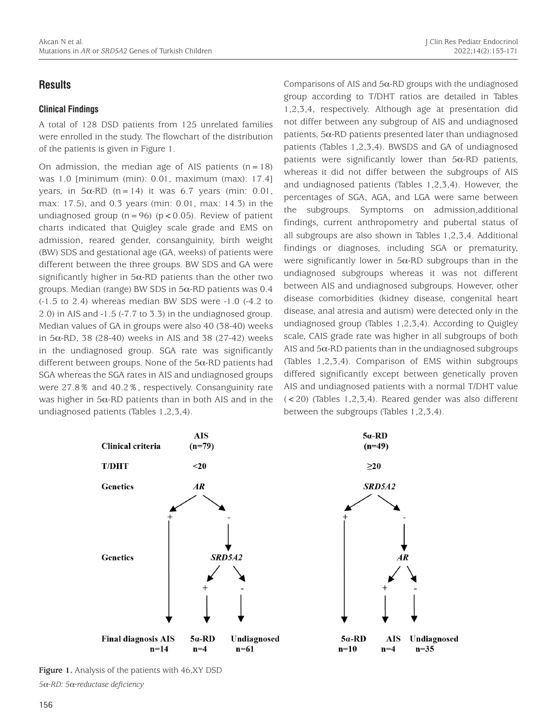# **Results**

## **Clinical Findings**

A total of 128 DSD patients from 125 unrelated families were enrolled in the study. The flowchart of the distribution of the patients is given in Figure 1.

On admission, the median age of AIS patients  $(n=18)$ was 1.0 [minimum (min): 0.01, maximum (max): 17.4] years, in  $5\alpha$ -RD (n=14) it was 6.7 years (min: 0.01, max: 17.5), and 0.3 years (min: 0.01, max: 14.3) in the undiagnosed group  $(n=96)$   $(p < 0.05)$ . Review of patient charts indicated that Quigley scale grade and EMS on admission, reared gender, consanguinity, birth weight (BW) SDS and gestational age (GA, weeks) of patients were different between the three groups. BW SDS and GA were significantly higher in  $5\alpha$ -RD patients than the other two groups. Median (range) BW SDS in  $5\alpha$ -RD patients was 0.4 (-1.5 to 2.4) whereas median BW SDS were -1.0 (-4.2 to 2.0) in AIS and -1.5 (-7.7 to 3.3) in the undiagnosed group. Median values of GA in groups were also 40 (38-40) weeks in 5α-RD, 38 (28-40) weeks in AIS and 38 (27-42) weeks in the undiagnosed group. SGA rate was significantly different between groups. None of the  $5\alpha$ -RD patients had SGA whereas the SGA rates in AIS and undiagnosed groups were 27.8% and 40.2%, respectively. Consanguinity rate was higher in  $5\alpha$ -RD patients than in both AIS and in the undiagnosed patients (Tables 1,2,3,4).

Comparisons of AIS and  $5\alpha$ -RD groups with the undiagnosed group according to T/DHT ratios are detailed in Tables 1,2,3,4, respectively. Although age at presentation did not differ between any subgroup of AIS and undiagnosed patients,  $5\alpha$ -RD patients presented later than undiagnosed patients (Tables 1,2,3,4). BWSDS and GA of undiagnosed patients were significantly lower than  $5\alpha$ -RD patients, whereas it did not differ between the subgroups of AIS and undiagnosed patients (Tables 1,2,3,4). However, the percentages of SGA, AGA, and LGA were same between the subgroups. Symptoms on admission,additional findings, current anthropometry and pubertal status of all subgroups are also shown in Tables 1,2,3,4. Additional findings or diagnoses, including SGA or prematurity, were significantly lower in  $5\alpha$ -RD subgroups than in the undiagnosed subgroups whereas it was not different between AIS and undiagnosed subgroups. However, other disease comorbidities (kidney disease, congenital heart disease, anal atresia and autism) were detected only in the undiagnosed group (Tables 1,2,3,4). According to Quigley scale, CAIS grade rate was higher in all subgroups of both AIS and  $5\alpha$ -RD patients than in the undiagnosed subgroups (Tables 1,2,3,4). Comparison of EMS within subgroups differed significantly except between genetically proven AIS and undiagnosed patients with a normal T/DHT value (<20) (Tables 1,2,3,4). Reared gender was also different between the subgroups (Tables 1,2,3,4).



**Figure 1.** Analysis of the patients with 46,XY DSD *5*α*-RD: 5*α*-reductase deficiency*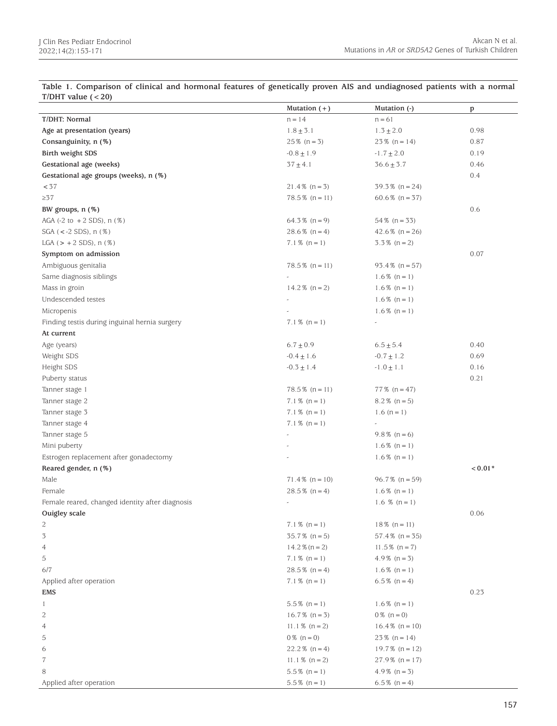| T/DHT value $(< 20)$                              |                   |                   |           |
|---------------------------------------------------|-------------------|-------------------|-----------|
|                                                   | Mutation $(+)$    | Mutation (-)      | p         |
| T/DHT: Normal                                     | $n = 14$          | $n = 61$          |           |
| Age at presentation (years)                       | $1.8 \pm 3.1$     | $1.3 \pm 2.0$     | 0.98      |
| Consanguinity, n (%)                              | $25\%$ (n = 3)    | $23\%$ (n = 14)   | 0.87      |
| Birth weight SDS                                  | $-0.8 \pm 1.9$    | $-1.7 \pm 2.0$    | 0.19      |
| Gestational age (weeks)                           | $37 \pm 4.1$      | $36.6 \pm 3.7$    | 0.46      |
| Gestational age groups (weeks), n (%)             |                   |                   | 0.4       |
| < 37                                              | $21.4\%$ (n = 3)  | $39.3\%$ (n = 24) |           |
| $\geq$ 37                                         | $78.5\%$ (n = 11) | $60.6\%$ (n = 37) |           |
| BW groups, n (%)                                  |                   |                   | 0.6       |
| AGA $(-2 \text{ to } + 2 \text{ SDS})$ , n $(\%)$ | $64.3\%$ (n = 9)  | $54\%$ (n = 33)   |           |
| $SGA (< -2 SDS), n (\%)$                          | $28.6\%$ (n = 4)  | 42.6 $% (n = 26)$ |           |
| LGA $(> + 2$ SDS), n $(\%)$                       | $7.1\%$ (n = 1)   | $3.3\%$ (n = 2)   |           |
| Symptom on admission                              |                   |                   | 0.07      |
| Ambiguous genitalia                               | $78.5\%$ (n = 11) | $93.4\%$ (n = 57) |           |
| Same diagnosis siblings                           |                   | $1.6\%$ (n = 1)   |           |
| Mass in groin                                     | $14.2\%$ (n = 2)  | $1.6\%$ (n = 1)   |           |
| Undescended testes                                |                   | $1.6\%$ (n = 1)   |           |
| Micropenis                                        |                   | $1.6\%$ (n = 1)   |           |
| Finding testis during inguinal hernia surgery     | $7.1\%$ (n = 1)   |                   |           |
| At current                                        |                   |                   |           |
| Age (years)                                       | $6.7 \pm 0.9$     | $6.5 \pm 5.4$     | 0.40      |
| Weight SDS                                        | $-0.4 \pm 1.6$    | $-0.7 \pm 1.2$    | 0.69      |
| Height SDS                                        | $-0.3 \pm 1.4$    | $-1.0 \pm 1.1$    | 0.16      |
| Puberty status                                    |                   |                   | 0.21      |
| Tanner stage 1                                    | $78.5\%$ (n = 11) | $77\%$ (n = 47)   |           |
| Tanner stage 2                                    | $7.1\%$ (n = 1)   | $8.2\%$ (n = 5)   |           |
| Tanner stage 3                                    | $7.1\%$ (n = 1)   | 1.6 $(n = 1)$     |           |
| Tanner stage 4                                    | $7.1\%$ (n = 1)   |                   |           |
| Tanner stage 5                                    | ä,                | $9.8\%$ (n = 6)   |           |
| Mini puberty                                      |                   | $1.6\%$ (n = 1)   |           |
| Estrogen replacement after gonadectomy            |                   | $1.6\%$ (n = 1)   |           |
| Reared gender, n (%)                              |                   |                   | $< 0.01*$ |
| Male                                              | $71.4\%$ (n = 10) | $96.7\%$ (n = 59) |           |
| Female                                            | $28.5\%$ (n = 4)  | $1.6\%$ (n = 1)   |           |
| Female reared, changed identity after diagnosis   |                   | 1.6 % $(n = 1)$   |           |
| Ouigley scale                                     |                   |                   | 0.06      |
| 2                                                 | $7.1\%$ (n = 1)   | $18\%$ (n = 11)   |           |
| $\overline{3}$                                    | $35.7\%$ (n = 5)  | $57.4\%$ (n = 35) |           |
| 4                                                 | $14.2\%$ (n = 2)  | $11.5\%$ (n = 7)  |           |
| 5                                                 | $7.1\%$ (n = 1)   | $4.9\%$ (n = 3)   |           |
| 6/7                                               | $28.5\%$ (n = 4)  | $1.6\%$ (n = 1)   |           |
| Applied after operation                           | $7.1\%$ (n = 1)   | $6.5\%$ (n = 4)   |           |
| EMS                                               |                   |                   | 0.23      |
| 1                                                 | $5.5\%$ (n = 1)   | $1.6\%$ (n = 1)   |           |
| 2                                                 | $16.7\%$ (n = 3)  | $0\%$ (n = 0)     |           |
| 4                                                 | $11.1\%$ (n = 2)  | $16.4\%$ (n = 10) |           |
| 5                                                 | $0\%$ (n = 0)     | $23\%$ (n = 14)   |           |
| 6                                                 | $22.2\%$ (n = 4)  | $19.7\%$ (n = 12) |           |
| 7                                                 | $11.1\%$ (n = 2)  | $27.9\%$ (n = 17) |           |
| 8                                                 | $5.5\%$ (n = 1)   | $4.9\%$ (n = 3)   |           |
| Applied after operation                           | $5.5\%$ (n = 1)   | $6.5\%$ (n = 4)   |           |

**Table 1. Comparison of clinical and hormonal features of genetically proven AIS and undiagnosed patients with a normal**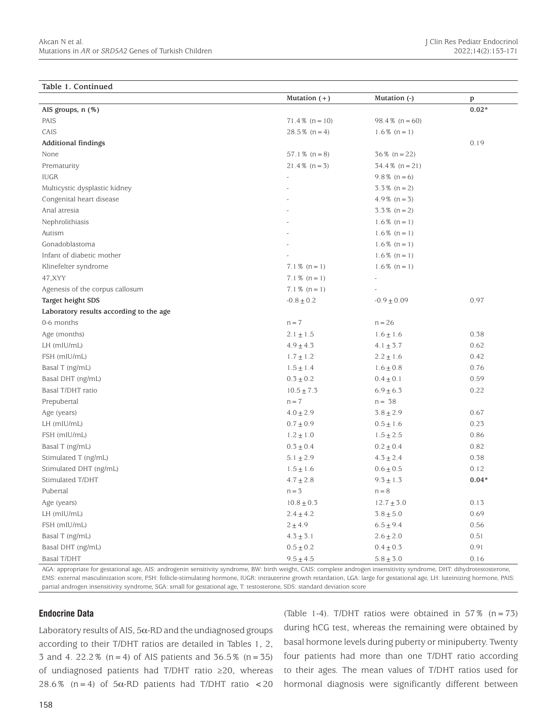#### **Table 1. Continued**

|                                         | Mutation $(+)$    | Mutation (-)      | p       |
|-----------------------------------------|-------------------|-------------------|---------|
| AIS groups, n (%)                       |                   |                   | $0.02*$ |
| PAIS                                    | $71.4\%$ (n = 10) | $98.4\%$ (n = 60) |         |
| CAIS                                    | $28.5\%$ (n = 4)  | $1.6\%$ (n = 1)   |         |
| <b>Additional findings</b>              |                   |                   | 0.19    |
| None                                    | $57.1\%$ (n = 8)  | $36\%$ (n = 22)   |         |
| Prematurity                             | $21.4\%$ (n = 3)  | $34.4\%$ (n = 21) |         |
| <b>IUGR</b>                             |                   | $9.8\%$ (n = 6)   |         |
| Multicystic dysplastic kidney           |                   | $3.3\%$ (n = 2)   |         |
| Congenital heart disease                |                   | $4.9\%$ (n = 3)   |         |
| Anal atresia                            |                   | $3.3\%$ (n = 2)   |         |
| Nephrolithiasis                         |                   | $1.6\%$ (n = 1)   |         |
| Autism                                  |                   | $1.6\%$ (n = 1)   |         |
| Gonadoblastoma                          |                   | $1.6\%$ (n = 1)   |         |
| Infant of diabetic mother               |                   | $1.6\%$ (n = 1)   |         |
| Klinefelter syndrome                    | $7.1\%$ (n = 1)   | $1.6\%$ (n = 1)   |         |
| 47, XYY                                 | $7.1\%$ (n = 1)   |                   |         |
| Agenesis of the corpus callosum         | $7.1\%$ (n = 1)   |                   |         |
| Target height SDS                       | $-0.8 \pm 0.2$    | $-0.9 \pm 0.09$   | 0.97    |
| Laboratory results according to the age |                   |                   |         |
| 0-6 months                              | $n = 7$           | $n = 26$          |         |
| Age (months)                            | $2.1 \pm 1.5$     | $1.6 \pm 1.6$     | 0.38    |
| LH (mIU/mL)                             | $4.9 \pm 4.3$     | $4.1 \pm 3.7$     | 0.62    |
| FSH (mIU/mL)                            | $1.7 \pm 1.2$     | $2.2\pm1.6$       | 0.42    |
| Basal T (ng/mL)                         | $1.5 \pm 1.4$     | $1.6 \pm 0.8$     | 0.76    |
| Basal DHT (ng/mL)                       | $0.3 \pm 0.2$     | $0.4 \pm 0.1$     | 0.59    |
| Basal T/DHT ratio                       | $10.5 \pm 7.3$    | $6.9 \pm 6.3$     | 0.22    |
| Prepubertal                             | $n = 7$           | $n = 38$          |         |
| Age (years)                             | $4.0 \pm 2.9$     | $3.8 \pm 2.9$     | 0.67    |
| LH (mIU/mL)                             | $0.7 \pm 0.9$     | $0.5 \pm 1.6$     | 0.23    |
| FSH (mIU/mL)                            | $1.2\pm1.0$       | $1.5 \pm 2.5$     | 0.86    |
| Basal T (ng/mL)                         | $0.3 \pm 0.4$     | $0.2 \pm 0.4$     | 0.82    |
| Stimulated T (ng/mL)                    | $5.1 \pm 2.9$     | $4.3 \pm 2.4$     | 0.38    |
| Stimulated DHT (ng/mL)                  | $1.5\pm1.6$       | $0.6 \pm 0.5$     | 0.12    |
| Stimulated T/DHT                        | $4.7\pm2.8$       | $9.3 \pm 1.3$     | $0.04*$ |
| Pubertal                                | $n = 3$           | $n = 8$           |         |
| Age (years)                             | $10.8 \pm 0.3$    | $12.7\pm3.0$      | 0.13    |
| LH (mIU/mL)                             | $2.4 \pm 4.2$     | $3.8 \pm 5.0$     | 0.69    |
| FSH (mIU/mL)                            | $2 + 4.9$         | $6.5 \pm 9.4$     | 0.56    |
| Basal T (ng/mL)                         | $4.3\pm3.1$       | $2.6 \pm 2.0$     | 0.51    |
| Basal DHT (ng/mL)                       | $0.5 \pm 0.2$     | $0.4 \pm 0.3$     | 0.91    |
| <b>Basal T/DHT</b>                      | $9.5 \pm 4.5$     | $5.8 \pm 3.0$     | 0.16    |

AGA: appropriate for gestational age, AIS: androgenin sensitivity syndrome, BW: birth weight, CAIS: complete androgen insensitivity syndrome, DHT: dihydrotestosterone, EMS: external masculinization score, FSH: follicle-stimulating hormone, IUGR: intrauterine growth retardation, LGA: large for gestational age, LH: luteinizing hormone, PAIS: partial androgen insensitivity syndrome, SGA: small for gestational age, T: testosterone, SDS: standard deviation score

#### **Endocrine Data**

Laboratory results of AIS,  $5\alpha$ -RD and the undiagnosed groups according to their T/DHT ratios are detailed in Tables 1, 2, 3 and 4. 22.2% ( $n=4$ ) of AIS patients and 36.5% ( $n=35$ ) of undiagnosed patients had T/DHT ratio ≥20, whereas 28.6% (n=4) of 5 $\alpha$ -RD patients had T/DHT ratio <20 (Table 1-4). T/DHT ratios were obtained in  $57\%$  (n = 73) during hCG test, whereas the remaining were obtained by basal hormone levels during puberty or minipuberty. Twenty four patients had more than one T/DHT ratio according to their ages. The mean values of T/DHT ratios used for hormonal diagnosis were significantly different between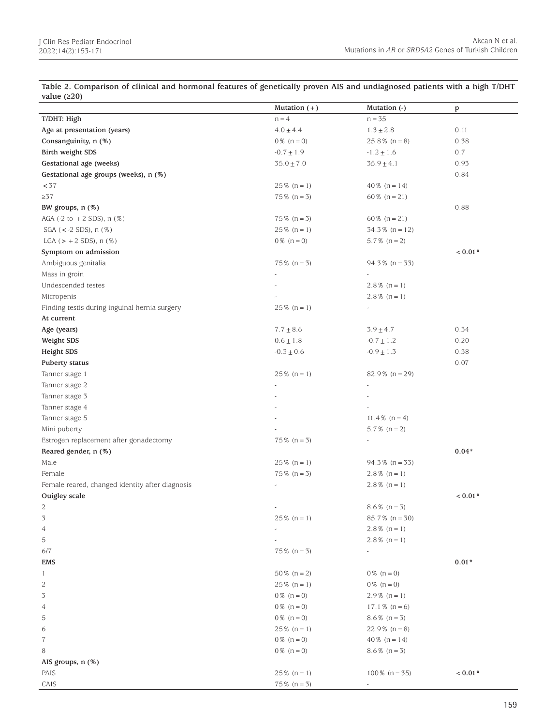| Mutation $(+)$ | Mutation (-)                                                                                                                                                                                                                                                                                                                                                                                                                                                                                                                            | p                                                                                                                                                                                                                                                                                                                                                                                                                                                                                                                                                                                                                                                                                                         |
|----------------|-----------------------------------------------------------------------------------------------------------------------------------------------------------------------------------------------------------------------------------------------------------------------------------------------------------------------------------------------------------------------------------------------------------------------------------------------------------------------------------------------------------------------------------------|-----------------------------------------------------------------------------------------------------------------------------------------------------------------------------------------------------------------------------------------------------------------------------------------------------------------------------------------------------------------------------------------------------------------------------------------------------------------------------------------------------------------------------------------------------------------------------------------------------------------------------------------------------------------------------------------------------------|
|                |                                                                                                                                                                                                                                                                                                                                                                                                                                                                                                                                         |                                                                                                                                                                                                                                                                                                                                                                                                                                                                                                                                                                                                                                                                                                           |
|                |                                                                                                                                                                                                                                                                                                                                                                                                                                                                                                                                         | 0.11                                                                                                                                                                                                                                                                                                                                                                                                                                                                                                                                                                                                                                                                                                      |
|                |                                                                                                                                                                                                                                                                                                                                                                                                                                                                                                                                         | 0.38                                                                                                                                                                                                                                                                                                                                                                                                                                                                                                                                                                                                                                                                                                      |
|                |                                                                                                                                                                                                                                                                                                                                                                                                                                                                                                                                         | 0.7                                                                                                                                                                                                                                                                                                                                                                                                                                                                                                                                                                                                                                                                                                       |
|                |                                                                                                                                                                                                                                                                                                                                                                                                                                                                                                                                         | 0.93                                                                                                                                                                                                                                                                                                                                                                                                                                                                                                                                                                                                                                                                                                      |
|                |                                                                                                                                                                                                                                                                                                                                                                                                                                                                                                                                         | 0.84                                                                                                                                                                                                                                                                                                                                                                                                                                                                                                                                                                                                                                                                                                      |
|                |                                                                                                                                                                                                                                                                                                                                                                                                                                                                                                                                         |                                                                                                                                                                                                                                                                                                                                                                                                                                                                                                                                                                                                                                                                                                           |
|                |                                                                                                                                                                                                                                                                                                                                                                                                                                                                                                                                         |                                                                                                                                                                                                                                                                                                                                                                                                                                                                                                                                                                                                                                                                                                           |
|                |                                                                                                                                                                                                                                                                                                                                                                                                                                                                                                                                         | 0.88                                                                                                                                                                                                                                                                                                                                                                                                                                                                                                                                                                                                                                                                                                      |
|                |                                                                                                                                                                                                                                                                                                                                                                                                                                                                                                                                         |                                                                                                                                                                                                                                                                                                                                                                                                                                                                                                                                                                                                                                                                                                           |
|                |                                                                                                                                                                                                                                                                                                                                                                                                                                                                                                                                         |                                                                                                                                                                                                                                                                                                                                                                                                                                                                                                                                                                                                                                                                                                           |
|                |                                                                                                                                                                                                                                                                                                                                                                                                                                                                                                                                         |                                                                                                                                                                                                                                                                                                                                                                                                                                                                                                                                                                                                                                                                                                           |
|                |                                                                                                                                                                                                                                                                                                                                                                                                                                                                                                                                         | $0.01*$                                                                                                                                                                                                                                                                                                                                                                                                                                                                                                                                                                                                                                                                                                   |
|                |                                                                                                                                                                                                                                                                                                                                                                                                                                                                                                                                         |                                                                                                                                                                                                                                                                                                                                                                                                                                                                                                                                                                                                                                                                                                           |
|                |                                                                                                                                                                                                                                                                                                                                                                                                                                                                                                                                         |                                                                                                                                                                                                                                                                                                                                                                                                                                                                                                                                                                                                                                                                                                           |
|                |                                                                                                                                                                                                                                                                                                                                                                                                                                                                                                                                         |                                                                                                                                                                                                                                                                                                                                                                                                                                                                                                                                                                                                                                                                                                           |
|                |                                                                                                                                                                                                                                                                                                                                                                                                                                                                                                                                         |                                                                                                                                                                                                                                                                                                                                                                                                                                                                                                                                                                                                                                                                                                           |
|                |                                                                                                                                                                                                                                                                                                                                                                                                                                                                                                                                         |                                                                                                                                                                                                                                                                                                                                                                                                                                                                                                                                                                                                                                                                                                           |
|                |                                                                                                                                                                                                                                                                                                                                                                                                                                                                                                                                         |                                                                                                                                                                                                                                                                                                                                                                                                                                                                                                                                                                                                                                                                                                           |
|                |                                                                                                                                                                                                                                                                                                                                                                                                                                                                                                                                         | 0.34                                                                                                                                                                                                                                                                                                                                                                                                                                                                                                                                                                                                                                                                                                      |
|                |                                                                                                                                                                                                                                                                                                                                                                                                                                                                                                                                         | 0.20                                                                                                                                                                                                                                                                                                                                                                                                                                                                                                                                                                                                                                                                                                      |
|                |                                                                                                                                                                                                                                                                                                                                                                                                                                                                                                                                         | 0.38                                                                                                                                                                                                                                                                                                                                                                                                                                                                                                                                                                                                                                                                                                      |
|                |                                                                                                                                                                                                                                                                                                                                                                                                                                                                                                                                         | 0.07                                                                                                                                                                                                                                                                                                                                                                                                                                                                                                                                                                                                                                                                                                      |
|                |                                                                                                                                                                                                                                                                                                                                                                                                                                                                                                                                         |                                                                                                                                                                                                                                                                                                                                                                                                                                                                                                                                                                                                                                                                                                           |
|                |                                                                                                                                                                                                                                                                                                                                                                                                                                                                                                                                         |                                                                                                                                                                                                                                                                                                                                                                                                                                                                                                                                                                                                                                                                                                           |
|                |                                                                                                                                                                                                                                                                                                                                                                                                                                                                                                                                         |                                                                                                                                                                                                                                                                                                                                                                                                                                                                                                                                                                                                                                                                                                           |
|                |                                                                                                                                                                                                                                                                                                                                                                                                                                                                                                                                         |                                                                                                                                                                                                                                                                                                                                                                                                                                                                                                                                                                                                                                                                                                           |
|                |                                                                                                                                                                                                                                                                                                                                                                                                                                                                                                                                         |                                                                                                                                                                                                                                                                                                                                                                                                                                                                                                                                                                                                                                                                                                           |
|                |                                                                                                                                                                                                                                                                                                                                                                                                                                                                                                                                         |                                                                                                                                                                                                                                                                                                                                                                                                                                                                                                                                                                                                                                                                                                           |
|                |                                                                                                                                                                                                                                                                                                                                                                                                                                                                                                                                         |                                                                                                                                                                                                                                                                                                                                                                                                                                                                                                                                                                                                                                                                                                           |
|                |                                                                                                                                                                                                                                                                                                                                                                                                                                                                                                                                         | $0.04*$                                                                                                                                                                                                                                                                                                                                                                                                                                                                                                                                                                                                                                                                                                   |
|                |                                                                                                                                                                                                                                                                                                                                                                                                                                                                                                                                         |                                                                                                                                                                                                                                                                                                                                                                                                                                                                                                                                                                                                                                                                                                           |
|                |                                                                                                                                                                                                                                                                                                                                                                                                                                                                                                                                         |                                                                                                                                                                                                                                                                                                                                                                                                                                                                                                                                                                                                                                                                                                           |
|                |                                                                                                                                                                                                                                                                                                                                                                                                                                                                                                                                         |                                                                                                                                                                                                                                                                                                                                                                                                                                                                                                                                                                                                                                                                                                           |
|                |                                                                                                                                                                                                                                                                                                                                                                                                                                                                                                                                         | $0.01*$                                                                                                                                                                                                                                                                                                                                                                                                                                                                                                                                                                                                                                                                                                   |
|                |                                                                                                                                                                                                                                                                                                                                                                                                                                                                                                                                         |                                                                                                                                                                                                                                                                                                                                                                                                                                                                                                                                                                                                                                                                                                           |
|                |                                                                                                                                                                                                                                                                                                                                                                                                                                                                                                                                         |                                                                                                                                                                                                                                                                                                                                                                                                                                                                                                                                                                                                                                                                                                           |
|                |                                                                                                                                                                                                                                                                                                                                                                                                                                                                                                                                         |                                                                                                                                                                                                                                                                                                                                                                                                                                                                                                                                                                                                                                                                                                           |
|                |                                                                                                                                                                                                                                                                                                                                                                                                                                                                                                                                         |                                                                                                                                                                                                                                                                                                                                                                                                                                                                                                                                                                                                                                                                                                           |
|                | $\overline{\phantom{a}}$                                                                                                                                                                                                                                                                                                                                                                                                                                                                                                                |                                                                                                                                                                                                                                                                                                                                                                                                                                                                                                                                                                                                                                                                                                           |
|                |                                                                                                                                                                                                                                                                                                                                                                                                                                                                                                                                         | $0.01*$                                                                                                                                                                                                                                                                                                                                                                                                                                                                                                                                                                                                                                                                                                   |
|                |                                                                                                                                                                                                                                                                                                                                                                                                                                                                                                                                         |                                                                                                                                                                                                                                                                                                                                                                                                                                                                                                                                                                                                                                                                                                           |
|                |                                                                                                                                                                                                                                                                                                                                                                                                                                                                                                                                         |                                                                                                                                                                                                                                                                                                                                                                                                                                                                                                                                                                                                                                                                                                           |
|                |                                                                                                                                                                                                                                                                                                                                                                                                                                                                                                                                         |                                                                                                                                                                                                                                                                                                                                                                                                                                                                                                                                                                                                                                                                                                           |
|                |                                                                                                                                                                                                                                                                                                                                                                                                                                                                                                                                         |                                                                                                                                                                                                                                                                                                                                                                                                                                                                                                                                                                                                                                                                                                           |
|                |                                                                                                                                                                                                                                                                                                                                                                                                                                                                                                                                         |                                                                                                                                                                                                                                                                                                                                                                                                                                                                                                                                                                                                                                                                                                           |
|                |                                                                                                                                                                                                                                                                                                                                                                                                                                                                                                                                         |                                                                                                                                                                                                                                                                                                                                                                                                                                                                                                                                                                                                                                                                                                           |
|                |                                                                                                                                                                                                                                                                                                                                                                                                                                                                                                                                         |                                                                                                                                                                                                                                                                                                                                                                                                                                                                                                                                                                                                                                                                                                           |
|                |                                                                                                                                                                                                                                                                                                                                                                                                                                                                                                                                         |                                                                                                                                                                                                                                                                                                                                                                                                                                                                                                                                                                                                                                                                                                           |
|                |                                                                                                                                                                                                                                                                                                                                                                                                                                                                                                                                         |                                                                                                                                                                                                                                                                                                                                                                                                                                                                                                                                                                                                                                                                                                           |
|                |                                                                                                                                                                                                                                                                                                                                                                                                                                                                                                                                         | $0.01*$                                                                                                                                                                                                                                                                                                                                                                                                                                                                                                                                                                                                                                                                                                   |
|                |                                                                                                                                                                                                                                                                                                                                                                                                                                                                                                                                         |                                                                                                                                                                                                                                                                                                                                                                                                                                                                                                                                                                                                                                                                                                           |
|                | $n = 4$<br>$4.0 \pm 4.4$<br>$0\%$ (n = 0)<br>$-0.7 \pm 1.9$<br>$35.0 \pm 7.0$<br>$25\%$ (n = 1)<br>$75\%$ (n = 3)<br>$75\%$ (n = 3)<br>$25\%$ (n = 1)<br>$0\%$ (n = 0)<br>$75\%$ (n = 3)<br>$25\%$ (n = 1)<br>$7.7 \pm 8.6$<br>$0.6 \pm 1.8$<br>$-0.3 \pm 0.6$<br>$25\%$ (n = 1)<br>$75\%$ (n = 3)<br>$25\%$ (n = 1)<br>$75\%$ (n = 3)<br>$25\%$ (n = 1)<br>$75\%$ (n = 3)<br>$50\%$ (n = 2)<br>$25\%$ (n = 1)<br>$0\%$ (n = 0)<br>$0\%$ (n = 0)<br>$0\%$ (n = 0)<br>$25\%$ (n = 1)<br>$0\%$ (n = 0)<br>$0\%$ (n = 0)<br>$25\%$ (n = 1) | $n=35$<br>$1.3 \pm 2.8$<br>$25.8\%$ (n = 8)<br>$-1.2\pm1.6$<br>$35.9 \pm 4.1$<br>$40\%$ (n = 14)<br>60 % $(n = 21)$<br>60 % $(n = 21)$<br>$34.3\%$ (n = 12)<br>$5.7\%$ (n = 2)<br>$94.3\%$ (n = 33)<br>$2.8\%$ (n = 1)<br>$2.8\%$ (n = 1)<br>$3.9 \pm 4.7$<br>$-0.7\pm1.2$<br>$-0.9 \pm 1.3$<br>$82.9\%$ (n = 29)<br>$\omega$<br>$11.4\%$ (n = 4)<br>$5.7\%$ (n = 2)<br>$94.3\%$ (n = 33)<br>$2.8\%$ (n = 1)<br>$2.8\%$ (n = 1)<br>$8.6\%$ (n = 3)<br>$85.7\%$ (n = 30)<br>$2.8\%$ (n = 1)<br>$2.8\%$ (n = 1)<br>$0\%$ (n = 0)<br>$0\%$ (n = 0)<br>$2.9\%$ (n = 1)<br>$17.1\%$ (n = 6)<br>$8.6\%$ (n = 3)<br>$22.9\%$ (n = 8)<br>$40\%$ (n = 14)<br>$8.6\%$ (n = 3)<br>$100\%$ (n = 35)<br>$75\%$ (n = 3) |

**Table 2. Comparison of clinical and hormonal features of genetically proven AIS and undiagnosed patients with a high T/DHT**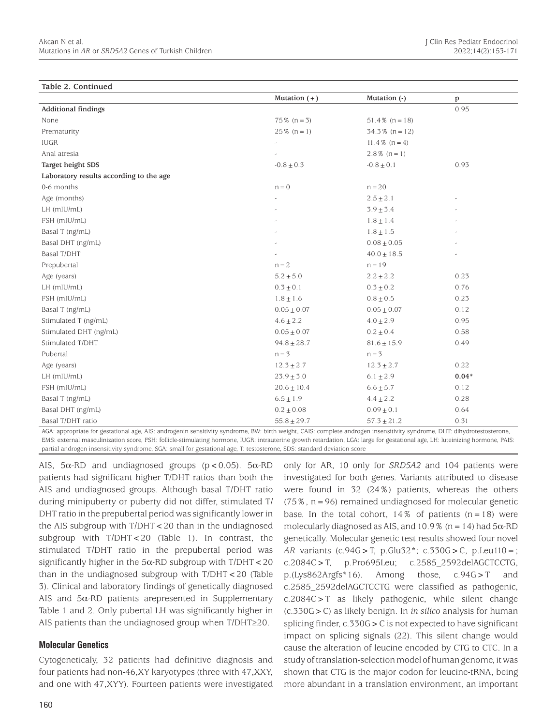| Table 2. Continued                      |                 |                   |         |
|-----------------------------------------|-----------------|-------------------|---------|
|                                         | Mutation $(+)$  | Mutation (-)      | p       |
| <b>Additional findings</b>              |                 |                   | 0.95    |
| None                                    | $75\%$ (n = 3)  | $51.4\%$ (n = 18) |         |
| Prematurity                             | $25\%$ (n = 1)  | $34.3\%$ (n = 12) |         |
| <b>IUGR</b>                             |                 | $11.4\%$ (n = 4)  |         |
| Anal atresia                            |                 | $2.8\%$ (n = 1)   |         |
| Target height SDS                       | $-0.8 \pm 0.3$  | $-0.8 \pm 0.1$    | 0.93    |
| Laboratory results according to the age |                 |                   |         |
| 0-6 months                              | $n = 0$         | $n = 20$          |         |
| Age (months)                            |                 | $2.5 \pm 2.1$     |         |
| LH (mIU/mL)                             |                 | $3.9 \pm 3.4$     |         |
| FSH (mIU/mL)                            |                 | $1.8\pm1.4$       |         |
| Basal T (ng/mL)                         |                 | $1.8\pm1.5$       |         |
| Basal DHT (ng/mL)                       |                 | $0.08\pm0.05$     |         |
| <b>Basal T/DHT</b>                      |                 | $40.0 \pm 18.5$   |         |
| Prepubertal                             | $n = 2$         | $n = 19$          |         |
| Age (years)                             | $5.2 \pm 5.0$   | $2.2 \pm 2.2$     | 0.23    |
| LH (mIU/mL)                             | $0.3 \pm 0.1$   | $0.3 \pm 0.2$     | 0.76    |
| FSH (mIU/mL)                            | $1.8 \pm 1.6$   | $0.8 \pm 0.5$     | 0.23    |
| Basal T (ng/mL)                         | $0.05 \pm 0.07$ | $0.05 \pm 0.07$   | 0.12    |
| Stimulated T (ng/mL)                    | $4.6 \pm 2.2$   | $4.0 \pm 2.9$     | 0.95    |
| Stimulated DHT (ng/mL)                  | $0.05\pm0.07$   | $0.2 \pm 0.4$     | 0.58    |
| Stimulated T/DHT                        | $94.8 \pm 28.7$ | $81.6 \pm 15.9$   | 0.49    |
| Pubertal                                | $n = 3$         | $n = 3$           |         |
| Age (years)                             | $12.3 \pm 2.7$  | $12.3 \pm 2.7$    | 0.22    |
| LH (mIU/mL)                             | $23.9\pm3.0$    | $6.1 \pm 2.9$     | $0.04*$ |
| FSH (mIU/mL)                            | $20.6 \pm 10.4$ | $6.6 \pm 5.7$     | 0.12    |
| Basal T (ng/mL)                         | $6.5 \pm 1.9$   | $4.4 \pm 2.2$     | 0.28    |
| Basal DHT (ng/mL)                       | $0.2 \pm 0.08$  | $0.09 \pm 0.1$    | 0.64    |
| Basal T/DHT ratio                       | $55.8 \pm 29.7$ | $57.3 + 21.2$     | 0.31    |

AGA: appropriate for gestational age, AIS: androgenin sensitivity syndrome, BW: birth weight, CAIS: complete androgen insensitivity syndrome, DHT: dihydrotestosterone, EMS: external masculinization score, FSH: follicle-stimulating hormone, IUGR: intrauterine growth retardation, LGA: large for gestational age, LH: luteinizing hormone, PAIS: partial androgen insensitivity syndrome, SGA: small for gestational age, T: testosterone, SDS: standard deviation score

AIS,  $5\alpha$ -RD and undiagnosed groups ( $p < 0.05$ ).  $5\alpha$ -RD patients had significant higher T/DHT ratios than both the AIS and undiagnosed groups. Although basal T/DHT ratio during minipuberty or puberty did not differ, stimulated T/ DHT ratio in the prepubertal period was significantly lower in the AIS subgroup with T/DHT<20 than in the undiagnosed subgroup with T/DHT<20 (Table 1). In contrast, the stimulated T/DHT ratio in the prepubertal period was significantly higher in the  $5\alpha$ -RD subgroup with T/DHT < 20 than in the undiagnosed subgroup with T/DHT<20 (Table 3). Clinical and laboratory findings of genetically diagnosed AIS and  $5\alpha$ -RD patients arepresented in Supplementary Table 1 and 2. Only pubertal LH was significantly higher in AIS patients than the undiagnosed group when T/DHT≥20.

# **Molecular Genetics**

Cytogeneticaly, 32 patients had definitive diagnosis and four patients had non-46,XY karyotypes (three with 47,XXY, and one with 47,XYY). Fourteen patients were investigated

only for AR, 10 only for *SRD5A2* and 104 patients were investigated for both genes. Variants attributed to disease were found in 32 (24%) patients, whereas the others  $(75\%$ ,  $n=96)$  remained undiagnosed for molecular genetic base. In the total cohort,  $14\%$  of patients (n=18) were molecularly diagnosed as AIS, and 10.9% ( $n = 14$ ) had  $5\alpha$ -RD genetically. Molecular genetic test results showed four novel *AR* variants (c.94G>T, p.Glu32\*; c.330G>C, p.Leu110=; c.2084C>T, p.Pro695Leu; c.2585\_2592delAGCTCCTG, p.(Lys862Argfs\*16). Among those, c.94G>T and c.2585\_2592delAGCTCCTG were classified as pathogenic, c.2084C>T as likely pathogenic, while silent change (c.330G>C) as likely benign. In *in silico* analysis for human splicing finder, c.330G>C is not expected to have significant impact on splicing signals (22). This silent change would cause the alteration of leucine encoded by CTG to CTC. In a study of translation-selection model of human genome, it was shown that CTG is the major codon for leucine-tRNA, being more abundant in a translation environment, an important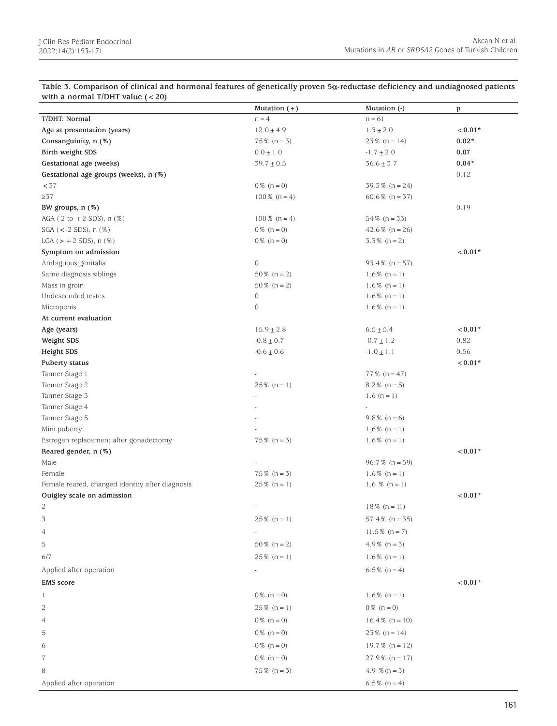| Table 3. Comparison of clinical and hormonal features of genetically proven 5 $\alpha$ -reductase deficiency and undiagnosed patients |
|---------------------------------------------------------------------------------------------------------------------------------------|
| with a normal T/DHT value $(< 20)$                                                                                                    |
|                                                                                                                                       |

|                                                  | Mutation $(+)$        | Mutation (-)      | p       |
|--------------------------------------------------|-----------------------|-------------------|---------|
| T/DHT: Normal                                    | $n = 4$               | $n = 61$          |         |
| Age at presentation (years)                      | $12.0 \pm 4.9$        | $1.3 \pm 2.0$     | $0.01*$ |
| Consanguinity, n (%)                             | $75\%$ (n = 3)        | $23\%$ (n = 14)   | $0.02*$ |
| Birth weight SDS                                 | $0.0 \pm 1.0$         | $-1.7 \pm 2.0$    | 0.07    |
| Gestational age (weeks)                          | $39.7 \pm 0.5$        | $36.6 \pm 3.7$    | $0.04*$ |
| Gestational age groups (weeks), n (%)            |                       |                   | 0.12    |
| < 37                                             | $0\%$ (n = 0)         | $39.3\%$ (n = 24) |         |
| $\geq 37$                                        | $100\%$ (n = 4)       | 60.6 $% (n = 37)$ |         |
| BW groups, n (%)                                 |                       |                   | 0.19    |
| AGA $(-2 \text{ to } +2 \text{ SDS})$ , n $(\%)$ | $100\%$ (n = 4)       | $54\%$ (n = 33)   |         |
| $SGA$ (<-2 SDS), n $(\%)$                        | $0\%$ (n = 0)         | 42.6 $% (n = 26)$ |         |
| LGA $(> + 2$ SDS), $n$ $(\%)$                    | $0\%$ (n = 0)         | $3.3\%$ (n = 2)   |         |
| Symptom on admission                             |                       |                   | $0.01*$ |
| Ambiguous genitalia                              | $\mathbf{0}$          | $93.4\%$ (n = 57) |         |
| Same diagnosis siblings                          | $50\%$ (n = 2)        | $1.6\%$ (n = 1)   |         |
| Mass in groin                                    | $50\%$ (n = 2)        | $1.6\%$ (n = 1)   |         |
| Undescended testes                               | $\mathbf{0}$          | $1.6\%$ (n = 1)   |         |
| Micropenis                                       | $\boldsymbol{0}$      | $1.6\%$ (n = 1)   |         |
| At current evaluation                            |                       |                   |         |
| Age (years)                                      | $15.9 \pm 2.8$        | $6.5 \pm 5.4$     | $0.01*$ |
| Weight SDS                                       | $-0.8\pm0.7$          | $-0.7\pm1.2$      | 0.82    |
| Height SDS                                       | $-0.6 \pm 0.6$        | $-1.0 \pm 1.1$    | 0.56    |
| Puberty status                                   |                       |                   | $0.01*$ |
| Tanner Stage 1                                   |                       | $77\%$ (n = 47)   |         |
| Tanner Stage 2                                   | $25\%$ (n = 1)        | $8.2\%$ (n = 5)   |         |
| Tanner Stage 3                                   |                       | $1.6(n=1)$        |         |
| Tanner Stage 4                                   |                       |                   |         |
| Tanner Stage 5                                   |                       | $9.8\%$ (n = 6)   |         |
| Mini puberty                                     |                       | $1.6\%$ (n = 1)   |         |
| Estrogen replacement after gonadectomy           | $75\%$ (n = 3)        | $1.6\%$ (n = 1)   |         |
| Reared gender, n (%)                             |                       |                   | $0.01*$ |
| Male                                             |                       | $96.7\%$ (n = 59) |         |
| Female                                           | $75\%$ (n = 3)        | $1.6\%$ (n = 1)   |         |
| Female reared, changed identity after diagnosis  | $25\%$ (n = 1)        | 1.6 % $(n = 1)$   |         |
| Ouigley scale on admission                       |                       |                   | $0.01*$ |
| 2                                                | $\tilde{\phantom{a}}$ | $18\%$ (n = 11)   |         |
| 3                                                | $25\%$ (n = 1)        | $57.4\%$ (n = 35) |         |
| $\overline{4}$                                   |                       | $11.5\%$ (n = 7)  |         |
| 5                                                | $50\%$ (n = 2)        | $4.9\%$ (n = 3)   |         |
| 6/7                                              | $25\%$ (n = 1)        | $1.6\%$ (n = 1)   |         |
|                                                  |                       |                   |         |
| Applied after operation                          |                       | $6.5\%$ (n = 4)   |         |
| <b>EMS</b> score                                 |                       |                   | $0.01*$ |
| -1                                               | $0\%$ (n = 0)         | $1.6\%$ (n = 1)   |         |
| 2                                                | $25\%$ (n = 1)        | $0\%$ (n = 0)     |         |
| 4                                                | $0\%$ (n = 0)         | $16.4\%$ (n = 10) |         |
| 5                                                | $0\%$ (n = 0)         | $23\%$ (n = 14)   |         |
| 6                                                | $0\%$ (n = 0)         | $19.7\%$ (n = 12) |         |
|                                                  |                       |                   |         |
| 7                                                | $0\%$ (n = 0)         | $27.9\%$ (n = 17) |         |
| 8                                                | $75\%$ (n = 3)        | 4.9 $% (n = 3)$   |         |
| Applied after operation                          |                       | $6.5\%$ (n = 4)   |         |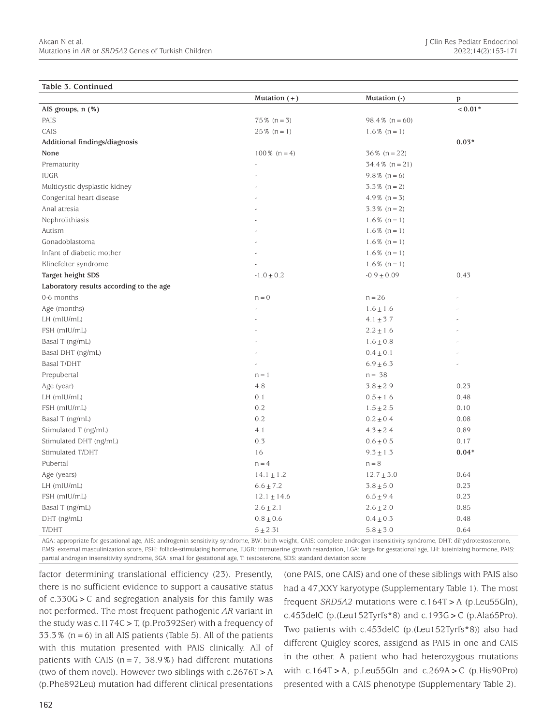#### **Table 3. Continued**

| rabio 9: continuou                      | Mutation $(+)$  | Mutation (-)      | p         |
|-----------------------------------------|-----------------|-------------------|-----------|
| AIS groups, n (%)                       |                 |                   | $< 0.01*$ |
| PAIS                                    | $75\%$ (n = 3)  | $98.4\%$ (n = 60) |           |
| CAIS                                    | $25\%$ (n = 1)  | $1.6\%$ (n = 1)   |           |
| Additional findings/diagnosis           |                 |                   | $0.03*$   |
| None                                    | $100\%$ (n = 4) | $36\%$ (n = 22)   |           |
| Prematurity                             |                 | $34.4\%$ (n = 21) |           |
| <b>IUGR</b>                             |                 | $9.8\%$ (n = 6)   |           |
| Multicystic dysplastic kidney           |                 | $3.3\%$ (n = 2)   |           |
| Congenital heart disease                |                 | $4.9\%$ (n = 3)   |           |
| Anal atresia                            |                 | $3.3\%$ (n = 2)   |           |
| Nephrolithiasis                         |                 | $1.6\%$ (n = 1)   |           |
| Autism                                  |                 | $1.6\%$ (n = 1)   |           |
| Gonadoblastoma                          |                 | $1.6\%$ (n = 1)   |           |
| Infant of diabetic mother               |                 | $1.6\%$ (n = 1)   |           |
| Klinefelter syndrome                    |                 | $1.6\%$ (n = 1)   |           |
| Target height SDS                       | $-1.0 \pm 0.2$  | $-0.9 \pm 0.09$   | 0.43      |
| Laboratory results according to the age |                 |                   |           |
| 0-6 months                              | $n = 0$         | $n = 26$          |           |
| Age (months)                            |                 | $1.6 \pm 1.6$     |           |
| LH (mIU/mL)                             |                 | $4.1 \pm 3.7$     |           |
| FSH (mIU/mL)                            |                 | $2.2\pm1.6$       |           |
| Basal T (ng/mL)                         |                 | $1.6 \pm 0.8$     |           |
| Basal DHT (ng/mL)                       |                 | $0.4 \pm 0.1$     |           |
| <b>Basal T/DHT</b>                      |                 | $6.9 \pm 6.3$     |           |
| Prepubertal                             | $n = 1$         | $n = 38$          |           |
| Age (year)                              | 4.8             | $3.8\pm2.9$       | 0.23      |
| LH (mIU/mL)                             | 0.1             | $0.5 \pm 1.6$     | 0.48      |
| FSH (mIU/mL)                            | 0.2             | $1.5 \pm 2.5$     | 0.10      |
| Basal T (ng/mL)                         | 0.2             | $0.2\pm0.4$       | 0.08      |
| Stimulated T (ng/mL)                    | 4.1             | $4.3 \pm 2.4$     | 0.89      |
| Stimulated DHT (ng/mL)                  | 0.3             | $0.6\pm0.5$       | 0.17      |
| Stimulated T/DHT                        | 16              | $9.3 \pm 1.3$     | $0.04*$   |
| Pubertal                                | $n = 4$         | $n = 8$           |           |
| Age (years)                             | $14.1 \pm 1.2$  | $12.7 \pm 3.0$    | 0.64      |
| LH (mIU/mL)                             | $6.6 \pm 7.2$   | $3.8 \pm 5.0$     | 0.23      |
| FSH (mIU/mL)                            | $12.1 \pm 14.6$ | $6.5 \pm 9.4$     | 0.23      |
| Basal T (ng/mL)                         | $2.6 \pm 2.1$   | $2.6 \pm 2.0$     | 0.85      |
| DHT (ng/mL)                             | $0.8 \pm 0.6$   | $0.4 \pm 0.3$     | 0.48      |
| T/DHT                                   | $5 + 2.31$      | $5.8 \pm 3.0$     | 0.64      |

AGA: appropriate for gestational age, AIS: androgenin sensitivity syndrome, BW: birth weight, CAIS: complete androgen insensitivity syndrome, DHT: dihydrotestosterone, EMS: external masculinization score, FSH: follicle-stimulating hormone, IUGR: intrauterine growth retardation, LGA: large for gestational age, LH: luteinizing hormone, PAIS: partial androgen insensitivity syndrome, SGA: small for gestational age, T: testosterone, SDS: standard deviation score

factor determining translational efficiency (23). Presently, there is no sufficient evidence to support a causative status of c.330G>C and segregation analysis for this family was not performed. The most frequent pathogenic *AR* variant in the study was c.1174C>T, (p.Pro392Ser) with a frequency of  $33.3\%$  (n = 6) in all AIS patients (Table 5). All of the patients with this mutation presented with PAIS clinically. All of patients with CAIS ( $n=7$ , 38.9%) had different mutations (two of them novel). However two siblings with  $c.2676T > A$ (p.Phe892Leu) mutation had different clinical presentations

(one PAIS, one CAIS) and one of these siblings with PAIS also had a 47,XXY karyotype (Supplementary Table 1). The most frequent *SRD5A2* mutations were c.164T>A (p.Leu55Gln), c.453delC (p.(Leu152Tyrfs\*8) and c.193G > C (p.Ala65Pro). Two patients with c.453delC (p.(Leu152Tyrfs\*8)) also had different Quigley scores, assigend as PAIS in one and CAIS in the other. A patient who had heterozygous mutations with  $c.164T > A$ , p.Leu55Gln and  $c.269A > C$  (p.His90Pro) presented with a CAIS phenotype (Supplementary Table 2).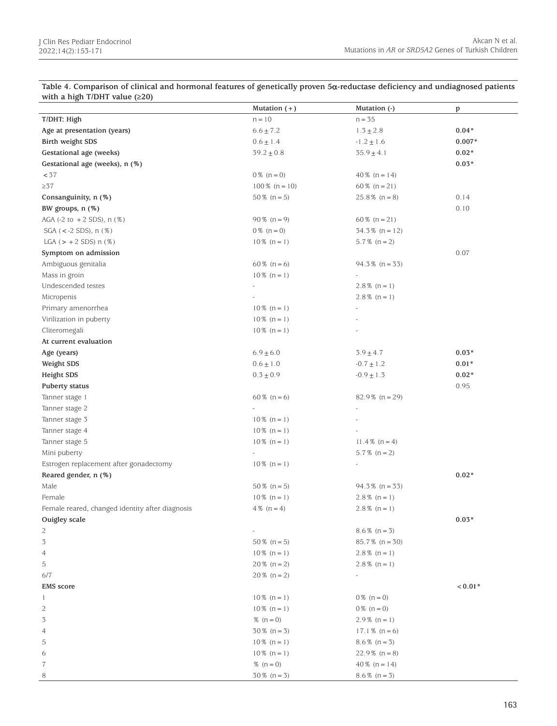**Table 4. Comparison of clinical and hormonal features of genetically proven 5**α**-reductase deficiency and undiagnosed patients with a high T/DHT value (≥20)**

| $\frac{1}{2}$                                    | Mutation $(+)$   | Mutation (-)             | p        |
|--------------------------------------------------|------------------|--------------------------|----------|
| T/DHT: High                                      | $n = 10$         | $n = 35$                 |          |
| Age at presentation (years)                      | $6.6 \pm 7.2$    | $1.3 \pm 2.8$            | $0.04*$  |
| Birth weight SDS                                 | $0.6 \pm 1.4$    | $-1.2\pm1.6$             | $0.007*$ |
| Gestational age (weeks)                          | $39.2 \pm 0.8$   | $35.9 \pm 4.1$           | $0.02*$  |
| Gestational age (weeks), n (%)                   |                  |                          | $0.03*$  |
| < 37                                             | $0\%$ (n = 0)    | $40\%$ (n = 14)          |          |
| $\geq 37$                                        | $100\%$ (n = 10) | 60 % $(n = 21)$          |          |
| Consanguinity, n (%)                             | $50\%$ (n = 5)   | $25.8\%$ (n = 8)         | 0.14     |
| BW groups, n (%)                                 |                  |                          | 0.10     |
| AGA $(-2 \text{ to } +2 \text{ SDS})$ , n $(\%)$ | $90\%$ (n = 9)   | 60 $% (n = 21)$          |          |
| SGA ( $\lt$ -2 SDS), n (%)                       | $0\%$ (n = 0)    | $34.3\%$ (n = 12)        |          |
| LGA $(> + 2$ SDS) $n$ (%)                        | $10\%$ (n = 1)   | $5.7\%$ (n = 2)          |          |
| Symptom on admission                             |                  |                          | 0.07     |
| Ambiguous genitalia                              | 60 % $(n = 6)$   | $94.3\%$ (n = 33)        |          |
| Mass in groin                                    | $10\%$ (n = 1)   |                          |          |
| Undescended testes                               |                  | $2.8\%$ (n = 1)          |          |
| Micropenis                                       |                  | $2.8\%$ (n = 1)          |          |
| Primary amenorrhea                               | $10\%$ (n = 1)   | $\tilde{\phantom{a}}$    |          |
| Virilization in puberty                          | $10\%$ (n = 1)   |                          |          |
| Cliteromegali                                    | $10\%$ (n = 1)   |                          |          |
| At current evaluation                            |                  |                          |          |
| Age (years)                                      | $6.9 \pm 6.0$    | $3.9 \pm 4.7$            | $0.03*$  |
| Weight SDS                                       | $0.6 \pm 1.0$    | $-0.7 \pm 1.2$           | $0.01*$  |
| Height SDS                                       | $0.3 \pm 0.9$    | $-0.9 \pm 1.3$           | $0.02*$  |
| Puberty status                                   |                  |                          | 0.95     |
| Tanner stage 1                                   | 60 % $(n = 6)$   | $82.9\%$ (n = 29)        |          |
| Tanner stage 2                                   | $\sim$           | $\overline{\phantom{a}}$ |          |
| Tanner stage 3                                   | $10\%$ (n = 1)   |                          |          |
| Tanner stage 4                                   | $10\%$ (n = 1)   |                          |          |
| Tanner stage 5                                   | $10\%$ (n = 1)   | 11.4 % $(n = 4)$         |          |
| Mini puberty                                     |                  | $5.7\%$ (n = 2)          |          |
| Estrogen replacement after gonadectomy           | $10\%$ (n = 1)   | $\tilde{\phantom{a}}$    |          |
| Reared gender, n (%)                             |                  |                          | $0.02*$  |
| Male                                             | $50\%$ (n = 5)   | $94.3\%$ (n = 33)        |          |
| Female                                           | $10\%$ (n = 1)   | $2.8\%$ (n = 1)          |          |
| Female reared, changed identity after diagnosis  | $4\%$ (n = 4)    | $2.8\%$ (n = 1)          |          |
| Ouigley scale                                    |                  |                          | $0.03*$  |
| 2                                                |                  | $8.6\%$ (n = 3)          |          |
| 3                                                | $50\%$ (n = 5)   | $85.7\%$ (n = 30)        |          |
| 4                                                | $10\%$ (n = 1)   | $2.8\%$ (n = 1)          |          |
| 5                                                | $20\%$ (n = 2)   | $2.8\%$ (n = 1)          |          |
| 6/7                                              | $20\%$ (n = 2)   |                          |          |
| <b>EMS</b> score                                 |                  |                          | $0.01*$  |
| $\mathbf{1}$                                     | $10\%$ (n = 1)   | $0\%$ (n = 0)            |          |
| 2                                                | $10\%$ (n = 1)   | $0\%$ (n = 0)            |          |
| 3                                                | % $(n = 0)$      | $2.9\%$ (n = 1)          |          |
| 4                                                | $30\%$ (n = 3)   | $17.1\%$ (n = 6)         |          |
| 5                                                | $10\%$ (n = 1)   | $8.6\%$ (n = 3)          |          |
| 6                                                | $10\%$ (n = 1)   | $22.9\%$ (n = 8)         |          |
| 7                                                | $% (n = 0)$      | 40 $% (n = 14)$          |          |
| 8                                                | $30\%$ (n = 3)   | $8.6\%$ (n = 3)          |          |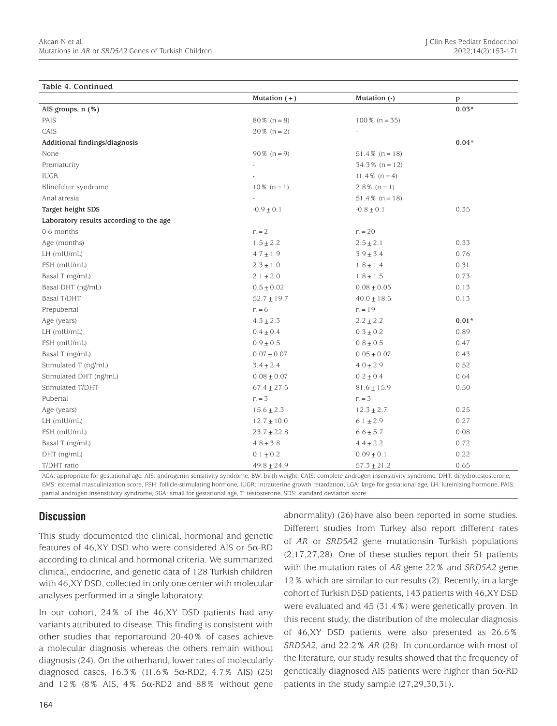#### **Table 4. Continued**

|                                         | Mutation $(+)$  | Mutation (-)      | $\, {\bf p}$ |
|-----------------------------------------|-----------------|-------------------|--------------|
| AIS groups, n (%)                       |                 |                   | $0.03*$      |
| PAIS                                    | $80\%$ (n = 8)  | $100\%$ (n = 35)  |              |
| CAIS                                    | $20\%$ (n = 2)  |                   |              |
| Additional findings/diagnosis           |                 |                   | $0.04*$      |
| None                                    | $90\%$ (n = 9)  | $51.4\%$ (n = 18) |              |
| Prematurity                             |                 | $34.3\%$ (n = 12) |              |
| <b>IUGR</b>                             |                 | $11.4\%$ (n = 4)  |              |
| Klinefelter syndrome                    | $10\%$ (n = 1)  | $2.8\%$ (n = 1)   |              |
| Anal atresia                            |                 | $51.4\%$ (n = 18) |              |
| Target height SDS                       | $-0.9\pm0.1$    | $-0.8 \pm 0.1$    | 0.35         |
| Laboratory results according to the age |                 |                   |              |
| 0-6 months                              | $n = 2$         | $n = 20$          |              |
| Age (months)                            | $1.5 \pm 2.2$   | $2.5 \pm 2.1$     | 0.33         |
| LH (mIU/mL)                             | $4.7 \pm 1.9$   | $3.9 \pm 3.4$     | 0.76         |
| FSH (mIU/mL)                            | $2.3 \pm 1.0$   | $1.8 \pm 1.4$     | 0.31         |
| Basal T (ng/mL)                         | $2.1 \pm 2.0$   | $1.8\pm1.5$       | 0.73         |
| Basal DHT (ng/mL)                       | $0.5\pm0.02$    | $0.08 \pm 0.05$   | 0.13         |
| <b>Basal T/DHT</b>                      | $52.7 \pm 19.7$ | $40.0 \pm 18.5$   | 0.13         |
| Prepubertal                             | $n = 6$         | $n = 19$          |              |
| Age (years)                             | $4.3 \pm 2.3$   | $2.2 \pm 2.2$     | $0.01*$      |
| LH (mIU/mL)                             | $0.4 \pm 0.4$   | $0.3 \pm 0.2$     | 0.89         |
| FSH (mIU/mL)                            | $0.9 \pm 0.5$   | $0.8 \pm 0.5$     | 0.47         |
| Basal T (ng/mL)                         | $0.07 \pm 0.07$ | $0.05 \pm 0.07$   | 0.43         |
| Stimulated T (ng/mL)                    | $3.4\pm2.4$     | $4.0 \pm 2.9$     | 0.52         |
| Stimulated DHT (ng/mL)                  | $0.08 \pm 0.07$ | $0.2 \pm 0.4$     | 0.64         |
| Stimulated T/DHT                        | $67.4 \pm 27.5$ | $81.6 \pm 15.9$   | 0.50         |
| Pubertal                                | $n = 3$         | $n = 3$           |              |
| Age (years)                             | $15.6 \pm 2.3$  | $12.3 \pm 2.7$    | 0.25         |
| LH (mIU/mL)                             | $12.7 \pm 10.0$ | $6.1 \pm 2.9$     | 0.27         |
| FSH (mIU/mL)                            | $23.7\pm22.8$   | $6.6 \pm 5.7$     | 0.08         |
| Basal T (ng/mL)                         | $4.8\pm3.8$     | $4.4\pm2.2$       | 0.72         |
| DHT (ng/mL)                             | $0.1\pm0.2$     | $0.09 \pm 0.1$    | 0.22         |
| T/DHT ratio                             | $49.8 \pm 24.9$ | $57.3 \pm 21.2$   | 0.65         |

AGA: appropriate for gestational age, AIS: androgenin sensitivity syndrome, BW: birth weight, CAIS: complete androgen insensitivity syndrome, DHT: dihydrotestosterone, EMS: external masculinization score, FSH: follicle-stimulating hormone, IUGR: intrauterine growth retardation, LGA: large for gestational age, LH: luteinizing hormone, PAIS: partial androgen insensitivity syndrome, SGA: small for gestational age, T: testosterone, SDS: standard deviation score

# **Discussion**

This study documented the clinical, hormonal and genetic features of 46,XY DSD who were considered AIS or  $5\alpha$ -RD according to clinical and hormonal criteria. We summarized clinical, endocrine, and genetic data of 128 Turkish children with 46,XY DSD, collected in only one center with molecular analyses performed in a single laboratory.

In our cohort, 24% of the 46,XY DSD patients had any variants attributed to disease. This finding is consistent with other studies that reportaround 20-40% of cases achieve a molecular diagnosis whereas the others remain without diagnosis (24). On the otherhand, lower rates of molecularly diagnosed cases,  $16.3\%$  (11.6%  $5\alpha$ -RD2, 4.7% AIS) (25) and  $12\%$  (8% AIS, 4% 5 $\alpha$ -RD2 and 88% without gene

abnormality) (26) have also been reported in some studies. Different studies from Turkey also report different rates of *AR* or *SRD5A2* gene mutationsin Turkish populations (2,17,27,28). One of these studies report their 51 patients with the mutation rates of *AR* gene 22% and *SRD5A2* gene 12% which are similar to our results (2). Recently, in a large cohort of Turkish DSD patients, 143 patients with 46,XY DSD were evaluated and 45 (31.4%) were genetically proven. In this recent study, the distribution of the molecular diagnosis of 46,XY DSD patients were also presented as 26.6% *SRD5A2,* and 22.2% *AR* (28). In concordance with most of the literature, our study results showed that the frequency of genetically diagnosed AIS patients were higher than 5α-RD patients in the study sample (27,29,30,31)**.**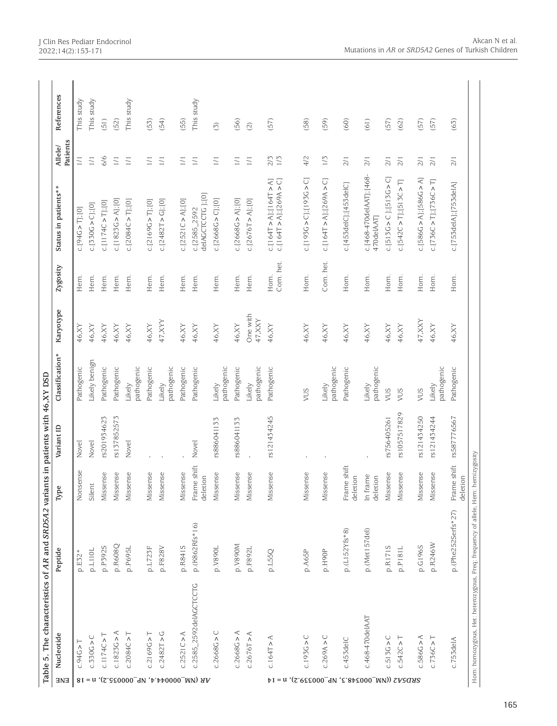|                                                 | Table 5. The characteristics of AR and SRD5A2 variants in patients with 46,XY DSD |                    |                         |              |                      |                              |                   |                                                  |                     |                         |
|-------------------------------------------------|-----------------------------------------------------------------------------------|--------------------|-------------------------|--------------|----------------------|------------------------------|-------------------|--------------------------------------------------|---------------------|-------------------------|
| ENE                                             | Nucleotide                                                                        | Peptide            | Type                    | Variant ID   | Classification*      | Karyotype                    | Zygosity          | Status in patients**                             | Patients<br>Allele/ | References              |
|                                                 | $c.94G > T$                                                                       | p.E32*             | Nonsense                | Novel        | Pathogenic           | 46, XY                       | Hem.              | C.[94G > T][0]                                   | $\overline{11}$     | This study              |
| $8I = u$                                        | c.330G > C                                                                        | p.L110L            | Silent                  | Novel        | Likely benign        | 46, XY                       | Hem.              | $c. [330G > C]$ ;[0]                             | $\overline{11}$     | This study              |
|                                                 | C.1174C > T                                                                       | p.P392S            | Missense                | rs201934623  | Pathogenic           | 46, XY                       | Hem.              | $c$ . [1174C > T]; [0]                           | 6/6                 | (51)                    |
|                                                 | c.1823G > A                                                                       | p.R608Q            | Missense                | rs137852573  | Pathogenic           | 46, XY                       | Hem.              | c.[1823G > A];[0]                                | $\overline{11}$     | (52)                    |
|                                                 | c.2084C > T                                                                       | p.P695L            | Missense                | Novel        | pathogenic<br>Likely | 46, XY                       | Hem.              | $c. [2084C > T]$ ;[0]                            | $1/1$               | This study              |
|                                                 | c.2169G > T                                                                       | p.L723F            | Missense                |              | Pathogenic           | 46, XY                       | Hem.              | c. [2169G > T]; [0]                              | $1/1\,$             | (53)                    |
| (S.850000_9V, A.440000_MV) AA                   | c.2482T > G                                                                       | p.F828V            | Missense                |              | pathogenic<br>Likely | 47, XYY                      | Hem.              | $c. [2482T > G]$ ;[0]                            | $\overline{11}$     | (54)                    |
|                                                 | c.2521C > A                                                                       | p.R841S            | Missense                |              | Pathogenic           | 46, XY                       | Hem.              | c. [2521C > A]; [0]                              | $1/1$               | (55)                    |
|                                                 | c.2585_2592delAGCTCCTG                                                            | p.(K862Rfs*16)     | Frame shift<br>deletion | Novel        | Pathogenic           | 46, XY                       | Hem.              | delAGCTCCTG ];[0]<br>c.[2585_2592                | $1/\sqrt{1}$        | This study              |
|                                                 | c.2668G > C                                                                       | p.V890L            | Missense                | rs886041133  | pathogenic<br>Likely | 46, XY                       | Hem.              | $c. [2668G > C]$ ;[0]                            | $\Box$              | $\widehat{\odot}$       |
|                                                 | ⋖<br>c.2668G                                                                      | p.V890M            | Missense                | rs886041133  | Pathogenic           | 46, XY                       | Hem.              | $c.$ [2668G > A];[0]                             | $\Box$              | (56)                    |
|                                                 | c.2676T > A                                                                       | p.F892L            | Missense                |              | pathogenic<br>Likely | One with<br>$47, \text{XXY}$ | Hem.              | $c.$ [2676T > A];[0]                             | $1/1$               | $\widehat{\mathcal{Q}}$ |
| 41 = π ((2.6ΣΣΟΟΟ - 4Μ, Σ.84ΣΟΟΟ _ MV)) ΣΑΞΩΑΙΣ | C.164T > A                                                                        | p.L55Q             | Missense                | rs121434245  | Pathogenic           | 46, XY                       | Com. het.<br>Hom. | c.[164T > A][164T > A]<br>c.[164T > A][269A > C] | 2/3<br>1/5          | (57)                    |
|                                                 | C.193G > C                                                                        | p.A65P             | Missense                |              | VUS                  | 46, XY                       | Hom.              | C.[195G > C];[195G > C]                          | $4/2$               | (58)                    |
|                                                 | c.269A > C                                                                        | p.H90P             | Missense                |              | pathogenic<br>Likely | 46, XY                       | Com. het.         | c.[164T > A][[269A > C]                          | 1/5                 | (59)                    |
|                                                 | c.453delC                                                                         | $p.(L152Yfs*8)$    | Frame shift<br>deletion |              | Pathogenic           | 46, XY                       | Hom.              | c.[453delC];[453delC]                            | 2/1                 | (60)                    |
|                                                 | c.468-470delAAT                                                                   | p.(Met157del)      | In frame<br>deletion    |              | pathogenic<br>Likely | 46, XY                       | Hom.              | c.[468-470delAAT];[468-<br>470delAAT]            | 2/1                 | (61)                    |
|                                                 | c.513G > C                                                                        | p.R171S            | Missense                | rs756405261  | SUV                  | $46, \!XY$                   | Hom.              | $C. [513G > C]$ ;[513G > C]                      | 2/1                 | (57)                    |
|                                                 | c.542C > T                                                                        | p.P181L            | Missense                | rs1057517829 | VUS                  | 46, XY                       | Hom.              | c. [542C > T]; [513C > T]                        | 2/1                 | (62)                    |
|                                                 | c.586G > A                                                                        | p.G196S            | Missense                | rs121434250  | VUS                  | $47, \! \mathrm{XXY}$        | Hom.              | $c. [586G > A]$ ; $[586G > A]$                   | 2/1                 | (57)                    |
|                                                 | C.736C > T                                                                        | p.R246W            | Missense                | rs121434244  | pathogenic<br>Likely | 46, XY                       | Hom.              | $C$ . [736C > T]; [736C > T]                     | 2/1                 | (57)                    |
|                                                 | c.753delA                                                                         | p.(Phe252Serfs*27) | Frame shift<br>deletion | rs587776567  | Pathogenic           | 46, XY                       | Hom.              | c.[753delA];[753delA]                            | 2/1                 | (63)                    |
|                                                 | Hom: homozygous, Het: heterozygous, Freq: frequency of allele, Hem: hemizygosity  |                    |                         |              |                      |                              |                   |                                                  |                     |                         |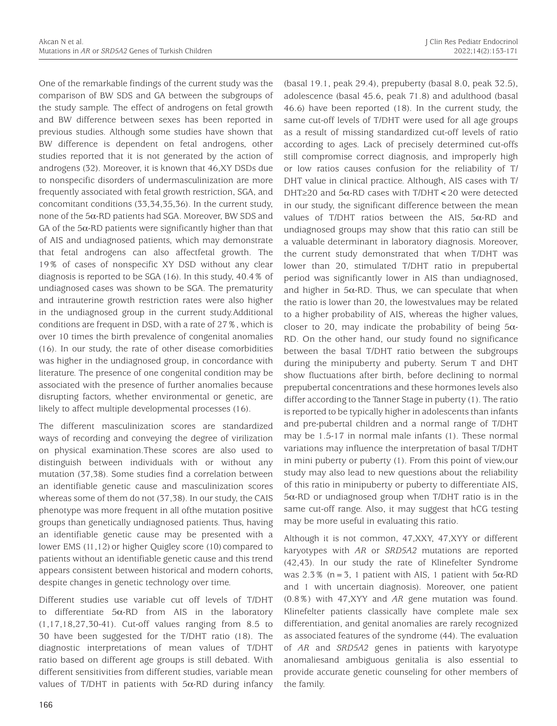One of the remarkable findings of the current study was the comparison of BW SDS and GA between the subgroups of the study sample. The effect of androgens on fetal growth and BW difference between sexes has been reported in previous studies. Although some studies have shown that BW difference is dependent on fetal androgens, other studies reported that it is not generated by the action of androgens (32). Moreover, it is known that 46,XY DSDs due to nonspecific disorders of undermasculinization are more frequently associated with fetal growth restriction, SGA, and concomitant conditions (33,34,35,36). In the current study, none of the 5α-RD patients had SGA. Moreover, BW SDS and GA of the  $5\alpha$ -RD patients were significantly higher than that of AIS and undiagnosed patients, which may demonstrate that fetal androgens can also affectfetal growth. The 19% of cases of nonspecific XY DSD without any clear diagnosis is reported to be SGA (16). In this study, 40.4% of undiagnosed cases was shown to be SGA. The prematurity and intrauterine growth restriction rates were also higher in the undiagnosed group in the current study.Additional conditions are frequent in DSD, with a rate of 27%, which is over 10 times the birth prevalence of congenital anomalies (16). In our study, the rate of other disease comorbidities was higher in the undiagnosed group, in concordance with literature. The presence of one congenital condition may be associated with the presence of further anomalies because disrupting factors, whether environmental or genetic, are likely to affect multiple developmental processes (16).

The different masculinization scores are standardized ways of recording and conveying the degree of virilization on physical examination.These scores are also used to distinguish between individuals with or without any mutation (37,38). Some studies find a correlation between an identifiable genetic cause and masculinization scores whereas some of them do not (37,38). In our study, the CAIS phenotype was more frequent in all ofthe mutation positive groups than genetically undiagnosed patients. Thus, having an identifiable genetic cause may be presented with a lower EMS (11,12) or higher Quigley score (10) compared to patients without an identifiable genetic cause and this trend appears consistent between historical and modern cohorts, despite changes in genetic technology over time.

Different studies use variable cut off levels of T/DHT to differentiate  $5\alpha$ -RD from AIS in the laboratory (1,17,18,27,30-41). Cut-off values ranging from 8.5 to 30 have been suggested for the T/DHT ratio (18). The diagnostic interpretations of mean values of T/DHT ratio based on different age groups is still debated. With different sensitivities from different studies, variable mean values of T/DHT in patients with  $5\alpha$ -RD during infancy (basal 19.1, peak 29.4), prepuberty (basal 8.0, peak 32.5), adolescence (basal 45.6, peak 71.8) and adulthood (basal 46.6) have been reported (18). In the current study, the same cut-off levels of T/DHT were used for all age groups as a result of missing standardized cut-off levels of ratio according to ages. Lack of precisely determined cut-offs still compromise correct diagnosis, and improperly high or low ratios causes confusion for the reliability of T/ DHT value in clinical practice. Although, AIS cases with T/ DHT≥20 and 5α-RD cases with T/DHT<20 were detected in our study, the significant difference between the mean values of T/DHT ratios between the AIS,  $5\alpha$ -RD and undiagnosed groups may show that this ratio can still be a valuable determinant in laboratory diagnosis. Moreover, the current study demonstrated that when T/DHT was lower than 20, stimulated T/DHT ratio in prepubertal period was significantly lower in AIS than undiagnosed, and higher in  $5\alpha$ -RD. Thus, we can speculate that when the ratio is lower than 20, the lowestvalues may be related to a higher probability of AIS, whereas the higher values, closer to 20, may indicate the probability of being  $5\alpha$ -RD. On the other hand, our study found no significance between the basal T/DHT ratio between the subgroups during the minipuberty and puberty. Serum T and DHT show fluctuations after birth, before declining to normal prepubertal concentrations and these hormones levels also differ according to the Tanner Stage in puberty (1). The ratio is reported to be typically higher in adolescents than infants and pre-pubertal children and a normal range of T/DHT may be 1.5-17 in normal male infants (1). These normal variations may influence the interpretation of basal T/DHT in mini puberty or puberty (1). From this point of view,our study may also lead to new questions about the reliability of this ratio in minipuberty or puberty to differentiate AIS, 5α-RD or undiagnosed group when T/DHT ratio is in the same cut-off range. Also, it may suggest that hCG testing may be more useful in evaluating this ratio.

Although it is not common, 47,XXY, 47,XYY or different karyotypes with *AR* or *SRD5A2* mutations are reported (42,43). In our study the rate of Klinefelter Syndrome was 2.3% (n=3, 1 patient with AIS, 1 patient with  $5\alpha$ -RD and 1 with uncertain diagnosis). Moreover, one patient (0.8%) with 47,XYY and *AR* gene mutation was found. Klinefelter patients classically have complete male sex differentiation, and genital anomalies are rarely recognized as associated features of the syndrome (44). The evaluation of *AR* and *SRD5A2* genes in patients with karyotype anomaliesand ambiguous genitalia is also essential to provide accurate genetic counseling for other members of the family.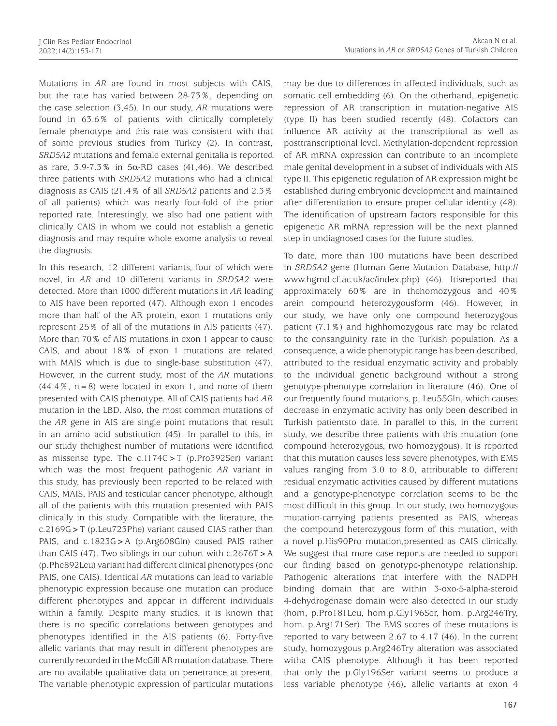Mutations in *AR* are found in most subjects with CAIS, but the rate has varied between 28-73%, depending on the case selection (3,45). In our study, *AR* mutations were found in 63.6% of patients with clinically completely female phenotype and this rate was consistent with that of some previous studies from Turkey (2). In contrast, *SRD5A2* mutations and female external genitalia is reported as rare,  $3.9-7.3\%$  in  $5\alpha$ -RD cases (41,46). We described three patients with *SRD5A2* mutations who had a clinical diagnosis as CAIS (21.4% of all *SRD5A2* patients and 2.3% of all patients) which was nearly four-fold of the prior reported rate. Interestingly, we also had one patient with clinically CAIS in whom we could not establish a genetic diagnosis and may require whole exome analysis to reveal the diagnosis.

In this research, 12 different variants, four of which were novel, in *AR* and 10 different variants in *SRD5A2* were detected. More than 1000 different mutations in *AR* leading to AIS have been reported (47). Although exon 1 encodes more than half of the AR protein, exon 1 mutations only represent 25% of all of the mutations in AIS patients (47). More than 70% of AIS mutations in exon 1 appear to cause CAIS, and about 18% of exon 1 mutations are related with MAIS which is due to single-base substitution (47). However, in the current study, most of the *AR* mutations  $(44.4\%$ ,  $n=8)$  were located in exon 1, and none of them presented with CAIS phenotype. All of CAIS patients had *AR* mutation in the LBD. Also, the most common mutations of the *AR* gene in AIS are single point mutations that result in an amino acid substitution (45). In parallel to this, in our study thehighest number of mutations were identified as missense type. The c.1174C>T (p.Pro392Ser) variant which was the most frequent pathogenic *AR* variant in this study, has previously been reported to be related with CAIS, MAIS, PAIS and testicular cancer phenotype, although all of the patients with this mutation presented with PAIS clinically in this study. Compatible with the literature, the c.2169G>T (p.Leu723Phe) variant caused CIAS rather than PAIS, and c.1823G>A (p.Arg608Gln) caused PAIS rather than CAIS (47). Two siblings in our cohort with  $c.2676T > A$ (p.Phe892Leu) variant had different clinical phenotypes (one PAIS, one CAIS). Identical *AR* mutations can lead to variable phenotypic expression because one mutation can produce different phenotypes and appear in different individuals within a family. Despite many studies, it is known that there is no specific correlations between genotypes and phenotypes identified in the AIS patients (6). Forty-five allelic variants that may result in different phenotypes are currently recorded in the McGill AR mutation database. There are no available qualitative data on penetrance at present. The variable phenotypic expression of particular mutations may be due to differences in affected individuals, such as somatic cell embedding (6). On the otherhand, epigenetic repression of AR transcription in mutation-negative AIS (type II) has been studied recently (48). Cofactors can influence AR activity at the transcriptional as well as posttranscriptional level. Methylation-dependent repression of AR mRNA expression can contribute to an incomplete male genital development in a subset of individuals with AIS type II. This epigenetic regulation of AR expression might be established during embryonic development and maintained after differentiation to ensure proper cellular identity (48). The identification of upstream factors responsible for this epigenetic AR mRNA repression will be the next planned step in undiagnosed cases for the future studies.

To date, more than 100 mutations have been described in *SRD5A2* gene (Human Gene Mutation Database, http:// www.hgmd.cf.ac.uk/ac/index.php) (46). Itisreported that approximately 60% are in thehomozygous and 40% arein compound heterozygousform (46). However, in our study, we have only one compound heterozygous patient (7.1%) and highhomozygous rate may be related to the consanguinity rate in the Turkish population. As a consequence, a wide phenotypic range has been described, attributed to the residual enzymatic activity and probably to the individual genetic background without a strong genotype-phenotype correlation in literature (46). One of our frequently found mutations, p. Leu55Gln, which causes decrease in enzymatic activity has only been described in Turkish patientsto date. In parallel to this, in the current study, we describe three patients with this mutation (one compound heterozygous, two homozygous). It is reported that this mutation causes less severe phenotypes, with EMS values ranging from 3.0 to 8.0, attributable to different residual enzymatic activities caused by different mutations and a genotype-phenotype correlation seems to be the most difficult in this group. In our study, two homozygous mutation-carrying patients presented as PAIS, whereas the compound heterozygous form of this mutation, with a novel p.His90Pro mutation,presented as CAIS clinically. We suggest that more case reports are needed to support our finding based on genotype-phenotype relationship. Pathogenic alterations that interfere with the NADPH binding domain that are within 3-oxo-5-alpha-steroid 4-dehydrogenase domain were also detected in our study (hom, p.Pro181Leu, hom.p.Gly196Ser, hom. p.Arg246Try, hom. p.Arg171Ser). The EMS scores of these mutations is reported to vary between 2.67 to 4.17 (46). In the current study, homozygous p.Arg246Try alteration was associated witha CAIS phenotype. Although it has been reported that only the p.Gly196Ser variant seems to produce a less variable phenotype (46)**,** allelic variants at exon 4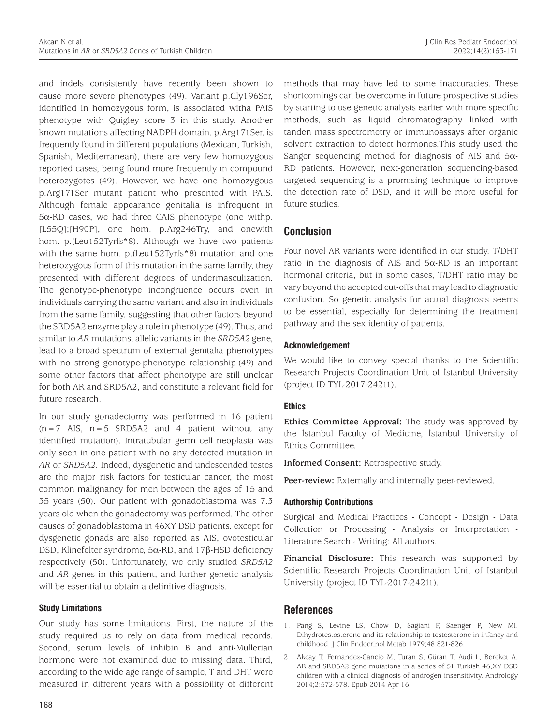and indels consistently have recently been shown to cause more severe phenotypes (49). Variant p.Gly196Ser, identified in homozygous form, is associated witha PAIS phenotype with Quigley score 3 in this study. Another known mutations affecting NADPH domain, p.Arg171Ser, is frequently found in different populations (Mexican, Turkish, Spanish, Mediterranean), there are very few homozygous reported cases, being found more frequently in compound heterozygotes (49). However, we have one homozygous p.Arg171Ser mutant patient who presented with PAIS. Although female appearance genitalia is infrequent in 5α-RD cases, we had three CAIS phenotype (one withp. [L55Q];[H90P], one hom. p.Arg246Try, and onewith hom. p.(Leu152Tyrfs\*8). Although we have two patients with the same hom. p.(Leu152Tyrfs\*8) mutation and one heterozygous form of this mutation in the same family, they presented with different degrees of undermasculization. The genotype-phenotype incongruence occurs even in individuals carrying the same variant and also in individuals from the same family, suggesting that other factors beyond the SRD5A2 enzyme play a role in phenotype (49). Thus, and similar to *AR* mutations, allelic variants in the *SRD5A2* gene, lead to a broad spectrum of external genitalia phenotypes with no strong genotype-phenotype relationship (49) and some other factors that affect phenotype are still unclear for both AR and SRD5A2, and constitute a relevant field for future research.

In our study gonadectomy was performed in 16 patient  $(n=7$  AIS,  $n=5$  SRD5A2 and 4 patient without any identified mutation). Intratubular germ cell neoplasia was only seen in one patient with no any detected mutation in *AR* or *SRD5A2*. Indeed, dysgenetic and undescended testes are the major risk factors for testicular cancer, the most common malignancy for men between the ages of 15 and 35 years (50). Our patient with gonadoblastoma was 7.3 years old when the gonadectomy was performed. The other causes of gonadoblastoma in 46XY DSD patients, except for dysgenetic gonads are also reported as AIS, ovotesticular DSD, Klinefelter syndrome, 5α-RD, and 17β-HSD deficiency respectively (50). Unfortunately, we only studied *SRD5A2* and *AR* genes in this patient, and further genetic analysis will be essential to obtain a definitive diagnosis.

#### **Study Limitations**

Our study has some limitations. First, the nature of the study required us to rely on data from medical records. Second, serum levels of inhibin B and anti-Mullerian hormone were not examined due to missing data. Third, according to the wide age range of sample, T and DHT were measured in different years with a possibility of different methods that may have led to some inaccuracies. These shortcomings can be overcome in future prospective studies by starting to use genetic analysis earlier with more specific methods, such as liquid chromatography linked with tanden mass spectrometry or immunoassays after organic solvent extraction to detect hormones.This study used the Sanger sequencing method for diagnosis of AIS and 5α-RD patients. However, next-generation sequencing-based targeted sequencing is a promising technique to improve the detection rate of DSD, and it will be more useful for future studies.

# **Conclusion**

Four novel AR variants were identified in our study. T/DHT ratio in the diagnosis of AIS and  $5\alpha$ -RD is an important hormonal criteria, but in some cases, T/DHT ratio may be vary beyond the accepted cut-offs that may lead to diagnostic confusion. So genetic analysis for actual diagnosis seems to be essential, especially for determining the treatment pathway and the sex identity of patients.

## **Acknowledgement**

We would like to convey special thanks to the Scientific Research Projects Coordination Unit of İstanbul University (project ID TYL-2017-24211).

# **Ethics**

**Ethics Committee Approval:** The study was approved by the İstanbul Faculty of Medicine, İstanbul University of Ethics Committee.

**Informed Consent:** Retrospective study.

Peer-review: Externally and internally peer-reviewed.

#### **Authorship Contributions**

Surgical and Medical Practices - Concept - Design - Data Collection or Processing - Analysis or Interpretation - Literature Search - Writing: All authors.

**Financial Disclosure:** This research was supported by Scientific Research Projects Coordination Unit of Istanbul University (project ID TYL-2017-24211).

# **References**

- 1. Pang S, Levine LS, Chow D, Sagiani F, Saenger P, New MI. Dihydrotestosterone and its relationship to testosterone in infancy and childhood. J Clin Endocrinol Metab 1979;48:821-826.
- 2. Akcay T, Fernandez-Cancio M, Turan S, Güran T, Audi L, Bereket A. AR and SRD5A2 gene mutations in a series of 51 Turkish 46,XY DSD children with a clinical diagnosis of androgen insensitivity. Andrology 2014;2:572-578. Epub 2014 Apr 16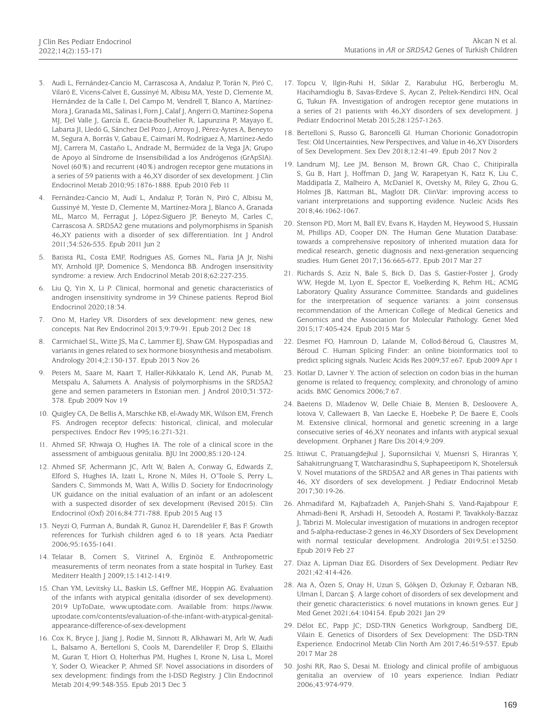- 3. Audi L, Fernández-Cancio M, Carrascosa A, Andaluz P, Torán N, Piró C, Vilaró E, Vicens-Calvet E, Gussinyé M, Albisu MA, Yeste D, Clemente M, Hernández de la Calle I, Del Campo M, Vendrell T, Blanco A, Martínez-Mora J, Granada ML, Salinas I, Forn J, Calaf J, Angerri O, Martínez-Sopena MJ, Del Valle J, García E, Gracia-Bouthelier R, Lapunzina P, Mayayo E, Labarta JI, Lledó G, Sánchez Del Pozo J, Arroyo J, Pérez-Aytes A, Beneyto M, Segura A, Borrás V, Gabau E, Caimarí M, Rodríguez A, Martínez-Aedo MJ, Carrera M, Castaño L, Andrade M, Bermúdez de la Vega JA; Grupo de Apoyo al Síndrome de Insensibilidad a los Andrógenos (GrApSIA). Novel (60%) and recurrent (40%) androgen receptor gene mutations in a series of 59 patients with a 46,XY disorder of sex development. J Clin Endocrinol Metab 2010;95:1876-1888. Epub 2010 Feb 11
- 4. Fernández-Cancio M, Audí L, Andaluz P, Torán N, Piró C, Albisu M, Gussinyé M, Yeste D, Clemente M, Martínez-Mora J, Blanco A, Granada ML, Marco M, Ferragut J, López-Siguero JP, Beneyto M, Carles C, Carrascosa A. SRD5A2 gene mutations and polymorphisms in Spanish 46,XY patients with a disorder of sex differentiation. Int J Androl 2011;34:526-535. Epub 2011 Jun 2
- 5. Batista RL, Costa EMF, Rodrigues AS, Gomes NL, Faria JA Jr, Nishi MY, Arnhold IJP, Domenice S, Mendonca BB. Androgen insensitivity syndrome: a review. Arch Endocrinol Metab 2018;62:227-235.
- 6. Liu Q, Yin X, Li P. Clinical, hormonal and genetic characteristics of androgen insensitivity syndrome in 39 Chinese patients. Reprod Biol Endocrinol 2020;18:34.
- 7. Ono M, Harley VR. Disorders of sex development: new genes, new concepts. Nat Rev Endocrinol 2013;9:79-91. Epub 2012 Dec 18
- 8. Carmichael SL, Witte JS, Ma C, Lammer EJ, Shaw GM. Hypospadias and variants in genes related to sex hormone biosynthesis and metabolism. Andrology 2014;2:130-137. Epub 2013 Nov 26
- 9. Peters M, Saare M, Kaart T, Haller-Kikkatalo K, Lend AK, Punab M, Metspalu A, Salumets A. Analysis of polymorphisms in the SRD5A2 gene and semen parameters in Estonian men. J Androl 2010;31:372- 378. Epub 2009 Nov 19
- 10. Quigley CA, De Bellis A, Marschke KB, el-Awady MK, Wilson EM, French FS. Androgen receptor defects: historical, clinical, and molecular perspectives. Endocr Rev 1995;16:271-321.
- 11. Ahmed SF, Khwaja O, Hughes IA. The role of a clinical score in the assessment of ambiguous genitalia. BJU Int 2000;85:120-124.
- 12. Ahmed SF, Achermann JC, Arlt W, Balen A, Conway G, Edwards Z, Elford S, Hughes IA, Izatt L, Krone N, Miles H, O'Toole S, Perry L, Sanders C, Simmonds M, Watt A, Willis D. Society for Endocrinology UK guidance on the initial evaluation of an infant or an adolescent with a suspected disorder of sex development (Revised 2015). Clin Endocrinol (Oxf) 2016;84:771-788. Epub 2015 Aug 13
- 13. Neyzi O, Furman A, Bundak R, Gunoz H, Darendeliler F, Bas F. Growth references for Turkish children aged 6 to 18 years. Acta Paediatr 2006;95:1635-1641.
- 14. Telatar B, Comert S, Vitrinel A, Erginöz E. Anthropometric measurements of term neonates from a state hospital in Turkey. East Mediterr Health J 2009;15:1412-1419.
- 15. Chan YM, Levitsky LL, Baskin LS, Geffner ME, Hoppin AG. Evaluation of the infants with atypical genitalia (disorder of sex development). 2019 UpToDate, www.uptodate.com. Available from: https://www. uptodate.com/contents/evaluation-of-the-infant-with-atypical-genitalappearance-difference-of-sex-development
- 16. Cox K, Bryce J, Jiang J, Rodie M, Sinnott R, Alkhawari M, Arlt W, Audi L, Balsamo A, Bertelloni S, Cools M, Darendeliler F, Drop S, Ellaithi M, Guran T, Hiort O, Holterhus PM, Hughes I, Krone N, Lisa L, Morel Y, Soder O, Wieacker P, Ahmed SF. Novel associations in disorders of sex development: findings from the I-DSD Registry. J Clin Endocrinol Metab 2014;99:348-355. Epub 2013 Dec 3

17. Topcu V, Ilgin-Ruhi H, Siklar Z, Karabulut HG, Berberoglu M, Hacihamdioglu B, Savas-Erdeve S, Aycan Z, Peltek-Kendirci HN, Ocal G, Tukun FA. Investigation of androgen receptor gene mutations in a series of 21 patients with 46,XY disorders of sex development. J Pediatr Endocrinol Metab 2015;28:1257-1263.

Akcan N et al.

- 18. Bertelloni S, Russo G, Baroncelli GI. Human Chorionic Gonadotropin Test: Old Uncertainties, New Perspectives, and Value in 46,XY Disorders of Sex Development. Sex Dev 2018;12:41-49. Epub 2017 Nov 2
- 19. Landrum MJ, Lee JM, Benson M, Brown GR, Chao C, Chitipiralla S, Gu B, Hart J, Hoffman D, Jang W, Karapetyan K, Katz K, Liu C, Maddipatla Z, Malheiro A, McDaniel K, Ovetsky M, Riley G, Zhou G, Holmes JB, Kattman BL, Maglott DR. ClinVar: improving access to variant interpretations and supporting evidence. Nucleic Acids Res 2018;46:1062-1067.
- 20. Stenson PD, Mort M, Ball EV, Evans K, Hayden M, Heywood S, Hussain M, Phillips AD, Cooper DN. The Human Gene Mutation Database: towards a comprehensive repository of inherited mutation data for medical research, genetic diagnosis and next-generation sequencing studies. Hum Genet 2017;136:665-677. Epub 2017 Mar 27
- 21. Richards S, Aziz N, Bale S, Bick D, Das S, Gastier-Foster J, Grody WW, Hegde M, Lyon E, Spector E, Voelkerding K, Rehm HL; ACMG Laboratory Quality Assurance Committee. Standards and guidelines for the interpretation of sequence variants: a joint consensus recommendation of the American College of Medical Genetics and Genomics and the Association for Molecular Pathology. Genet Med 2015;17:405-424. Epub 2015 Mar 5
- 22. Desmet FO, Hamroun D, Lalande M, Collod-Béroud G, Claustres M, Béroud C. Human Splicing Finder: an online bioinformatics tool to predict splicing signals. Nucleic Acids Res 2009;37:e67. Epub 2009 Apr 1
- 23. Kotlar D, Lavner Y. The action of selection on codon bias in the human genome is related to frequency, complexity, and chronology of amino acids. BMC Genomics 2006;7:67.
- 24. Baetens D, Mladenov W, Delle Chiaie B, Menten B, Desloovere A, Iotova V, Callewaert B, Van Laecke E, Hoebeke P, De Baere E, Cools M. Extensive clinical, hormonal and genetic screening in a large consecutive series of 46,XY neonates and infants with atypical sexual development. Orphanet J Rare Dis 2014;9:209.
- 25. Ittiwut C, Pratuangdejkul J, Supornsilchai V, Muensri S, Hiranras Y, Sahakitrungruang T, Watcharasindhu S, Suphapeetiporn K, Shotelersuk V. Novel mutations of the SRD5A2 and AR genes in Thai patients with 46, XY disorders of sex development. J Pediatr Endocrinol Metab 2017;30:19-26.
- 26. Ahmadifard M, Kajbafzadeh A, Panjeh-Shahi S, Vand-Rajabpour F, Ahmadi-Beni R, Arshadi H, Setoodeh A, Rostami P, Tavakkoly-Bazzaz J, Tabrizi M. Molecular investigation of mutations in androgen receptor and 5-alpha-reductase-2 genes in 46,XY Disorders of Sex Development with normal testicular development. Andrologia 2019;51:e13250. Epub 2019 Feb 27
- 27. Diaz A, Lipman Diaz EG. Disorders of Sex Development. Pediatr Rev 2021;42:414-426.
- 28. Ata A, Özen S, Onay H, Uzun S, Gökşen D, Özkınay F, Özbaran NB, Ulman İ, Darcan Ş. A large cohort of disorders of sex development and their genetic characteristics: 6 novel mutations in known genes. Eur J Med Genet 2021;64:104154. Epub 2021 Jan 29
- 29. Délot EC, Papp JC; DSD-TRN Genetics Workgroup, Sandberg DE, Vilain E. Genetics of Disorders of Sex Development: The DSD-TRN Experience. Endocrinol Metab Clin North Am 2017;46:519-537. Epub 2017 Mar 28
- 30. Joshi RR, Rao S, Desai M. Etiology and clinical profile of ambiguous genitalia an overview of 10 years experience. Indian Pediatr 2006;43:974-979.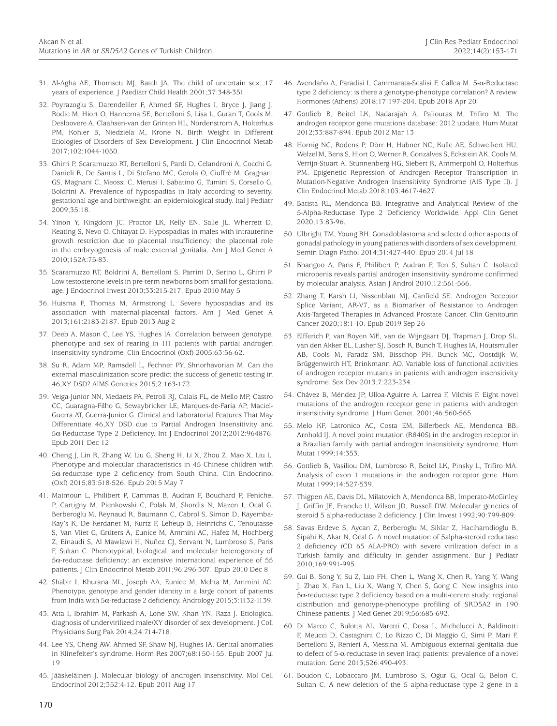- 31. Al-Agha AE, Thomsett MJ, Batch JA. The child of uncertain sex: 17 years of experience. J Paediatr Child Health 2001;37:348-351.
- 32. Poyrazoglu S, Darendeliler F, Ahmed SF, Hughes I, Bryce J, Jiang J, Rodie M, Hiort O, Hannema SE, Bertelloni S, Lisa L, Guran T, Cools M, Desloovere A, Claahsen-van der Grinten HL, Nordenstrom A, Holterhus PM, Kohler B, Niedziela M, Krone N. Birth Weight in Different Etiologies of Disorders of Sex Development. J Clin Endocrinol Metab 2017;102:1044-1050.
- 33. Ghirri P, Scaramuzzo RT, Bertelloni S, Pardi D, Celandroni A, Cocchi G, Danieli R, De Santis L, Di Stefano MC, Gerola O, Giuffrè M, Gragnani GS, Magnani C, Meossi C, Merusi I, Sabatino G, Tumini S, Corsello G, Boldrini A. Prevalence of hypospadias in Italy according to severity, gestational age and birthweight: an epidemiological study. Ital J Pediatr 2009;35:18.
- 34. Yinon Y, Kingdom JC, Proctor LK, Kelly EN, Salle JL, Wherrett D, Keating S, Nevo O, Chitayat D. Hypospadias in males with intrauterine growth restriction due to placental insufficiency: the placental role in the embryogenesis of male external genitalia. Am J Med Genet A 2010;152A:75-83.
- 35. Scaramuzzo RT, Boldrini A, Bertelloni S, Parrini D, Serino L, Ghirri P. Low testosterone levels in pre-term newborns born small for gestational age. J Endocrinol Invest 2010;33:215-217. Epub 2010 May 5
- 36. Huisma F, Thomas M, Armstrong L. Severe hypospadias and its association with maternal-placental factors. Am J Med Genet A 2013;161:2183-2187. Epub 2013 Aug 2
- 37. Deeb A, Mason C, Lee YS, Hughes IA. Correlation between genotype, phenotype and sex of rearing in 111 patients with partial androgen insensitivity syndrome. Clin Endocrinol (Oxf) 2005;63:56-62.
- 38. Su R, Adam MP, Ramsdell L, Fechner PY, Shnorhavorian M. Can the external masculinization score predict the success of genetic testing in 46,XY DSD? AIMS Genetics 2015;2:163-172.
- 39. Veiga-Junior NN, Medaets PA, Petroli RJ, Calais FL, de Mello MP, Castro CC, Guaragna-Filho G, Sewaybricker LE, Marques-de-Faria AP, Maciel-Guerra AT, Guerra-Junior G. Clinical and Laboratorial Features That May Differentiate 46,XY DSD due to Partial Androgen Insensitivity and 5α-Reductase Type 2 Deficiency. Int J Endocrinol 2012;2012:964876. Epub 2011 Dec 12
- 40. Cheng J, Lin R, Zhang W, Liu G, Sheng H, Li X, Zhou Z, Mao X, Liu L. Phenotype and molecular characteristics in 45 Chinese children with 5α-reductase type 2 deficiency from South China. Clin Endocrinol (Oxf) 2015;83:518-526. Epub 2015 May 7
- 41. Maimoun L, Philibert P, Cammas B, Audran F, Bouchard P, Fenichel P, Cartigny M, Pienkowski C, Polak M, Skordis N, Mazen I, Ocal G, Berberoglu M, Reynaud R, Baumann C, Cabrol S, Simon D, Kayemba-Kay's K, De Kerdanet M, Kurtz F, Leheup B, Heinrichs C, Tenoutasse S, Van Vliet G, Grüters A, Eunice M, Ammini AC, Hafez M, Hochberg Z, Einaudi S, Al Mawlawi H, Nuñez CJ, Servant N, Lumbroso S, Paris F, Sultan C. Phenotypical, biological, and molecular heterogeneity of 5α-reductase deficiency: an extensive international experience of 55 patients. J Clin Endocrinol Metab 2011;96:296-307. Epub 2010 Dec 8
- 42. Shabir I, Khurana ML, Joseph AA, Eunice M, Mehta M, Ammini AC. Phenotype, genotype and gender identity in a large cohort of patients from India with 5α-reductase 2 deficiency. Andrology 2015;3:1132-1139.
- 43. Atta I, Ibrahim M, Parkash A, Lone SW, Khan YN, Raza J. Etiological diagnosis of undervirilized male/XY disorder of sex development. J Coll Physicians Surg Pak 2014;24:714-718.
- 44. Lee YS, Cheng AW, Ahmed SF, Shaw NJ, Hughes IA. Genital anomalies in Klinefelter's syndrome. Horm Res 2007;68:150-155. Epub 2007 Jul 19
- 45. Jääskeläinen J. Molecular biology of androgen insensitivity. Mol Cell Endocrinol 2012;352:4-12. Epub 2011 Aug 17
- 46. Avendaño A, Paradisi I, Cammarata-Scalisi F, Callea M. 5-α-Reductase type 2 deficiency: is there a genotype-phenotype correlation? A review. Hormones (Athens) 2018;17:197-204. Epub 2018 Apr 20
- 47. Gottlieb B, Beitel LK, Nadarajah A, Paliouras M, Trifiro M. The androgen receptor gene mutations database: 2012 update. Hum Mutat 2012;33:887-894. Epub 2012 Mar 13
- 48. Hornig NC, Rodens P, Dörr H, Hubner NC, Kulle AE, Schweikert HU, Welzel M, Bens S, Hiort O, Werner R, Gonzalves S, Eckstein AK, Cools M, Verrijn-Stuart A, Stunnenberg HG, Siebert R, Ammerpohl O, Holterhus PM. Epigenetic Repression of Androgen Receptor Transcription in Mutation-Negative Androgen Insensitivity Syndrome (AIS Type II). J Clin Endocrinol Metab 2018;103:4617-4627.
- 49. Batista RL, Mendonca BB. Integrative and Analytical Review of the 5-Alpha-Reductase Type 2 Deficiency Worldwide. Appl Clin Genet 2020;13:83-96.
- 50. Ulbright TM, Young RH. Gonadoblastoma and selected other aspects of gonadal pathology in young patients with disorders of sex development. Semin Diagn Pathol 2014;31:427-440. Epub 2014 Jul 18
- 51. Bhangoo A, Paris F, Philibert P, Audran F, Ten S, Sultan C. Isolated micropenis reveals partial androgen insensitivity syndrome confirmed by molecular analysis. Asian J Androl 2010;12:561-566.
- 52. Zhang T, Karsh LI, Nissenblatt MJ, Canfield SE. Androgen Receptor Splice Variant, AR-V7, as a Biomarker of Resistance to Androgen Axis-Targeted Therapies in Advanced Prostate Cancer. Clin Genitourin Cancer 2020;18:1-10. Epub 2019 Sep 26
- 53. Elfferich P, van Royen ME, van de Wijngaart DJ, Trapman J, Drop SL, van den Akker EL, Lusher SJ, Bosch R, Bunch T, Hughes IA, Houtsmuller AB, Cools M, Faradz SM, Bisschop PH, Bunck MC, Oostdijk W, Brüggenwirth HT, Brinkmann AO. Variable loss of functional activities of androgen receptor mutants in patients with androgen insensitivity syndrome. Sex Dev 2013;7:223-234.
- 54. Chávez B, Méndez JP, Ulloa-Aguirre A, Larrea F, Vilchis F. Eight novel mutations of the androgen receptor gene in patients with androgen insensitivity syndrome. J Hum Genet. 2001;46:560-565.
- 55. Melo KF, Latronico AC, Costa EM, Billerbeck AE, Mendonca BB, Arnhold IJ. A novel point mutation (R840S) in the androgen receptor in a Brazilian family with partial androgen insensitivity syndrome. Hum Mutat 1999;14:353.
- 56. Gottlieb B, Vasiliou DM, Lumbroso R, Beitel LK, Pinsky L, Trifiro MA. Analysis of exon 1 mutations in the androgen receptor gene. Hum Mutat 1999;14:527-539.
- 57. Thigpen AE, Davis DL, Milatovich A, Mendonca BB, Imperato-McGinley J, Griffin JE, Francke U, Wilson JD, Russell DW. Molecular genetics of steroid 5 alpha-reductase 2 deficiency. J Clin Invest 1992;90:799-809.
- 58. Savas Erdeve S, Aycan Z, Berberoglu M, Siklar Z, Hacihamdioglu B, Sipahi K, Akar N, Ocal G. A novel mutation of 5alpha-steroid reductase 2 deficiency (CD 65 ALA-PRO) with severe virilization defect in a Turkish family and difficulty in gender assignment. Eur J Pediatr 2010;169:991-995.
- 59. Gui B, Song Y, Su Z, Luo FH, Chen L, Wang X, Chen R, Yang Y, Wang J, Zhao X, Fan L, Liu X, Wang Y, Chen S, Gong C. New insights into 5α-reductase type 2 deficiency based on a multi-centre study: regional distribution and genotype-phenotype profiling of SRD5A2 in 190 Chinese patients. J Med Genet 2019;56:685-692.
- 60. Di Marco C, Bulotta AL, Varetti C, Dosa L, Michelucci A, Baldinotti F, Meucci D, Castagnini C, Lo Rizzo C, Di Maggio G, Simi P, Mari F, Bertelloni S, Renieri A, Messina M. Ambiguous external genitalia due to defect of 5-α-reductase in seven Iraqi patients: prevalence of a novel mutation. Gene 2013;526:490-493.
- 61. Boudon C, Lobaccaro JM, Lumbroso S, Ogur G, Ocal G, Belon C, Sultan C. A new deletion of the 5 alpha-reductase type 2 gene in a